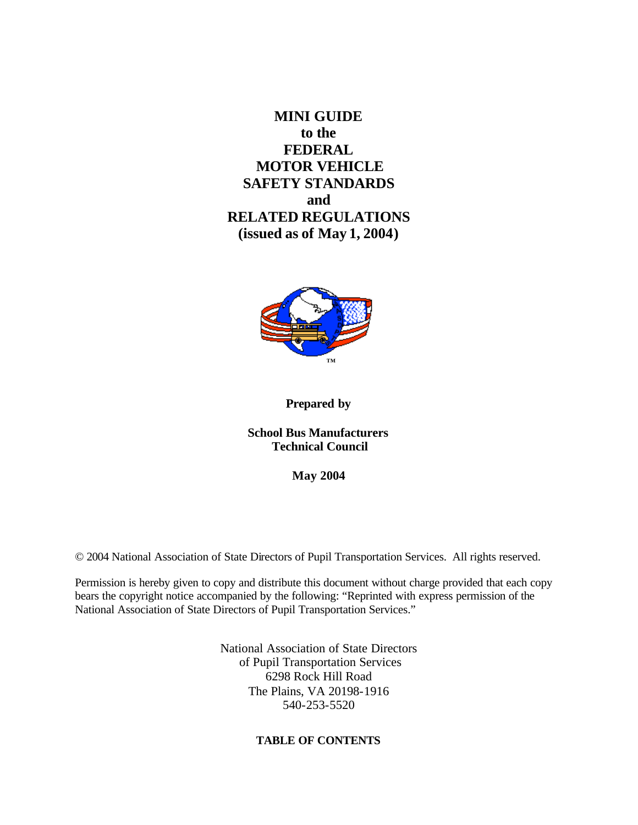# **MINI GUIDE to the FEDERAL MOTOR VEHICLE SAFETY STANDARDS and RELATED REGULATIONS (issued as of May 1, 2004)**



## **Prepared by**

## **School Bus Manufacturers Technical Council**

**May 2004**

© 2004 National Association of State Directors of Pupil Transportation Services. All rights reserved.

Permission is hereby given to copy and distribute this document without charge provided that each copy bears the copyright notice accompanied by the following: "Reprinted with express permission of the National Association of State Directors of Pupil Transportation Services."

> National Association of State Directors of Pupil Transportation Services 6298 Rock Hill Road The Plains, VA 20198-1916 540-253-5520

## **TABLE OF CONTENTS**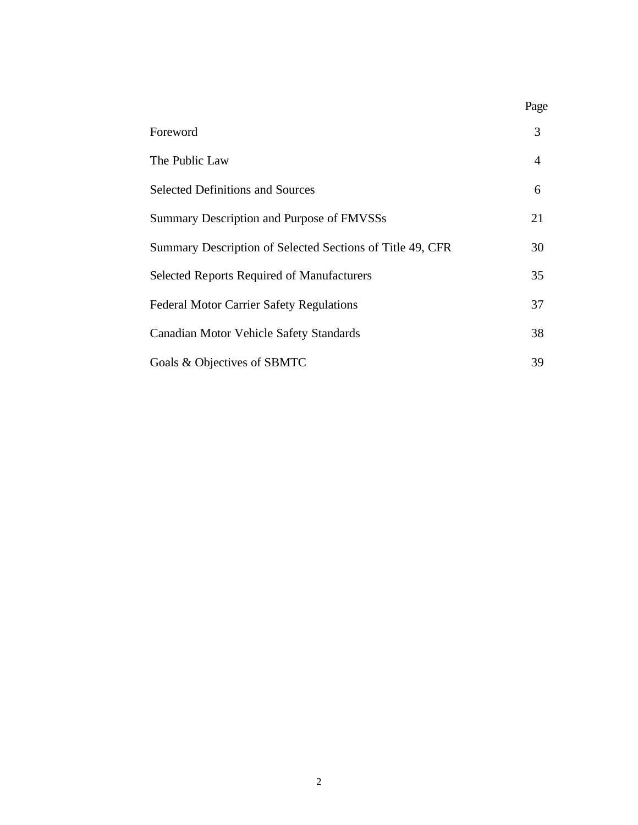|                                                           | Page |
|-----------------------------------------------------------|------|
| Foreword                                                  | 3    |
| The Public Law                                            | 4    |
| <b>Selected Definitions and Sources</b>                   | 6    |
| Summary Description and Purpose of FMVSSs                 | 21   |
| Summary Description of Selected Sections of Title 49, CFR | 30   |
| Selected Reports Required of Manufacturers                | 35   |
| <b>Federal Motor Carrier Safety Regulations</b>           | 37   |
| Canadian Motor Vehicle Safety Standards                   | 38   |
| Goals & Objectives of SBMTC                               | 39   |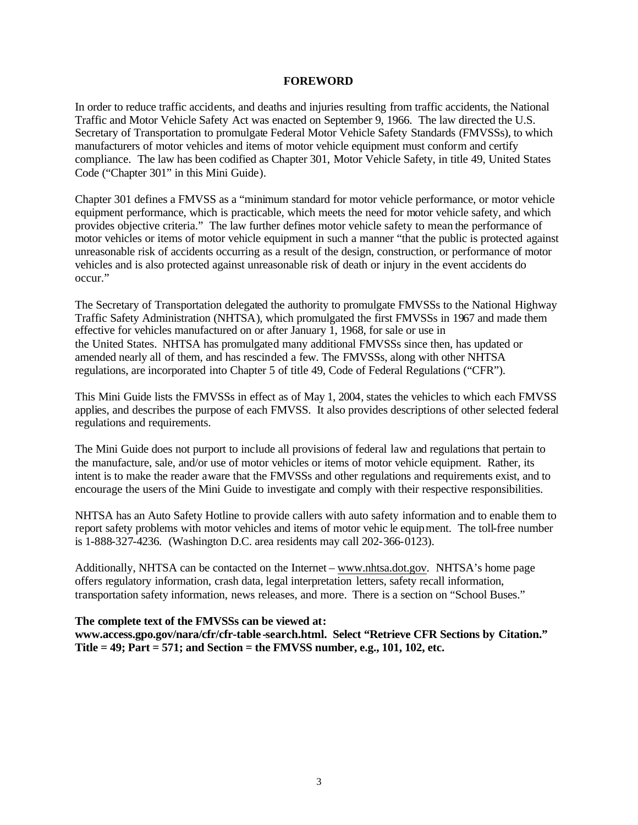### **FOREWORD**

In order to reduce traffic accidents, and deaths and injuries resulting from traffic accidents, the National Traffic and Motor Vehicle Safety Act was enacted on September 9, 1966. The law directed the U.S. Secretary of Transportation to promulgate Federal Motor Vehicle Safety Standards (FMVSSs), to which manufacturers of motor vehicles and items of motor vehicle equipment must conform and certify compliance. The law has been codified as Chapter 301, Motor Vehicle Safety, in title 49, United States Code ("Chapter 301" in this Mini Guide).

Chapter 301 defines a FMVSS as a "minimum standard for motor vehicle performance, or motor vehicle equipment performance, which is practicable, which meets the need for motor vehicle safety, and which provides objective criteria." The law further defines motor vehicle safety to mean the performance of motor vehicles or items of motor vehicle equipment in such a manner "that the public is protected against unreasonable risk of accidents occurring as a result of the design, construction, or performance of motor vehicles and is also protected against unreasonable risk of death or injury in the event accidents do occur."

The Secretary of Transportation delegated the authority to promulgate FMVSSs to the National Highway Traffic Safety Administration (NHTSA), which promulgated the first FMVSSs in 1967 and made them effective for vehicles manufactured on or after January 1, 1968, for sale or use in the United States. NHTSA has promulgated many additional FMVSSs since then, has updated or amended nearly all of them, and has rescinded a few. The FMVSSs, along with other NHTSA regulations, are incorporated into Chapter 5 of title 49, Code of Federal Regulations ("CFR").

This Mini Guide lists the FMVSSs in effect as of May 1, 2004, states the vehicles to which each FMVSS applies, and describes the purpose of each FMVSS. It also provides descriptions of other selected federal regulations and requirements.

The Mini Guide does not purport to include all provisions of federal law and regulations that pertain to the manufacture, sale, and/or use of motor vehicles or items of motor vehicle equipment. Rather, its intent is to make the reader aware that the FMVSSs and other regulations and requirements exist, and to encourage the users of the Mini Guide to investigate and comply with their respective responsibilities.

NHTSA has an Auto Safety Hotline to provide callers with auto safety information and to enable them to report safety problems with motor vehicles and items of motor vehic le equipment. The toll-free number is 1-888-327-4236. (Washington D.C. area residents may call 202-366-0123).

Additionally, NHTSA can be contacted on the Internet – www.nhtsa.dot.gov. NHTSA's home page offers regulatory information, crash data, legal interpretation letters, safety recall information, transportation safety information, news releases, and more. There is a section on "School Buses."

#### **The complete text of the FMVSSs can be viewed at:**

**www.access.gpo.gov/nara/cfr/cfr-table -search.html. Select "Retrieve CFR Sections by Citation." Title = 49; Part = 571; and Section = the FMVSS number, e.g., 101, 102, etc.**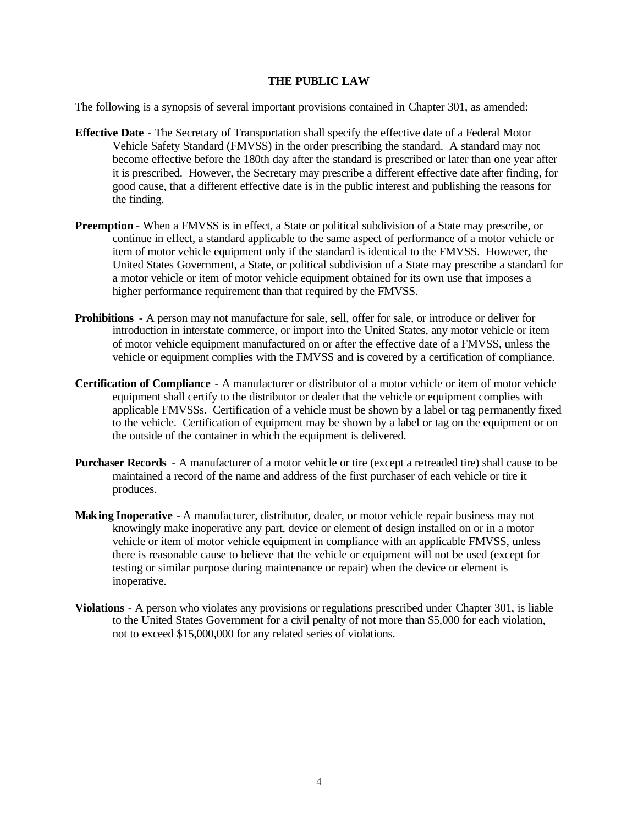### **THE PUBLIC LAW**

The following is a synopsis of several important provisions contained in Chapter 301, as amended:

- **Effective Date** The Secretary of Transportation shall specify the effective date of a Federal Motor Vehicle Safety Standard (FMVSS) in the order prescribing the standard. A standard may not become effective before the 180th day after the standard is prescribed or later than one year after it is prescribed. However, the Secretary may prescribe a different effective date after finding, for good cause, that a different effective date is in the public interest and publishing the reasons for the finding.
- **Preemption** When a FMVSS is in effect, a State or political subdivision of a State may prescribe, or continue in effect, a standard applicable to the same aspect of performance of a motor vehicle or item of motor vehicle equipment only if the standard is identical to the FMVSS. However, the United States Government, a State, or political subdivision of a State may prescribe a standard for a motor vehicle or item of motor vehicle equipment obtained for its own use that imposes a higher performance requirement than that required by the FMVSS.
- **Prohibitions** A person may not manufacture for sale, sell, offer for sale, or introduce or deliver for introduction in interstate commerce, or import into the United States, any motor vehicle or item of motor vehicle equipment manufactured on or after the effective date of a FMVSS, unless the vehicle or equipment complies with the FMVSS and is covered by a certification of compliance.
- **Certification of Compliance** A manufacturer or distributor of a motor vehicle or item of motor vehicle equipment shall certify to the distributor or dealer that the vehicle or equipment complies with applicable FMVSSs. Certification of a vehicle must be shown by a label or tag permanently fixed to the vehicle. Certification of equipment may be shown by a label or tag on the equipment or on the outside of the container in which the equipment is delivered.
- **Purchaser Records** A manufacturer of a motor vehicle or tire (except a retreaded tire) shall cause to be maintained a record of the name and address of the first purchaser of each vehicle or tire it produces.
- **Making Inoperative** A manufacturer, distributor, dealer, or motor vehicle repair business may not knowingly make inoperative any part, device or element of design installed on or in a motor vehicle or item of motor vehicle equipment in compliance with an applicable FMVSS, unless there is reasonable cause to believe that the vehicle or equipment will not be used (except for testing or similar purpose during maintenance or repair) when the device or element is inoperative.
- **Violations** A person who violates any provisions or regulations prescribed under Chapter 301, is liable to the United States Government for a civil penalty of not more than \$5,000 for each violation, not to exceed \$15,000,000 for any related series of violations.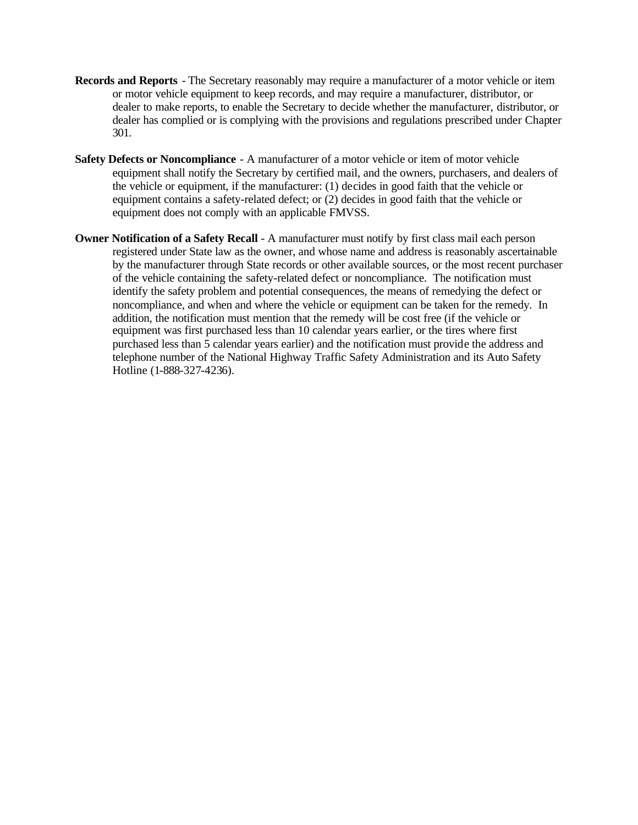- **Records and Reports** The Secretary reasonably may require a manufacturer of a motor vehicle or item or motor vehicle equipment to keep records, and may require a manufacturer, distributor, or dealer to make reports, to enable the Secretary to decide whether the manufacturer, distributor, or dealer has complied or is complying with the provisions and regulations prescribed under Chapter 301.
- **Safety Defects or Noncompliance** A manufacturer of a motor vehicle or item of motor vehicle equipment shall notify the Secretary by certified mail, and the owners, purchasers, and dealers of the vehicle or equipment, if the manufacturer: (1) decides in good faith that the vehicle or equipment contains a safety-related defect; or (2) decides in good faith that the vehicle or equipment does not comply with an applicable FMVSS.
- **Owner Notification of a Safety Recall** A manufacturer must notify by first class mail each person registered under State law as the owner, and whose name and address is reasonably ascertainable by the manufacturer through State records or other available sources, or the most recent purchaser of the vehicle containing the safety-related defect or noncompliance. The notification must identify the safety problem and potential consequences, the means of remedying the defect or noncompliance, and when and where the vehicle or equipment can be taken for the remedy. In addition, the notification must mention that the remedy will be cost free (if the vehicle or equipment was first purchased less than 10 calendar years earlier, or the tires where first purchased less than 5 calendar years earlier) and the notification must provide the address and telephone number of the National Highway Traffic Safety Administration and its Auto Safety Hotline (1-888-327-4236).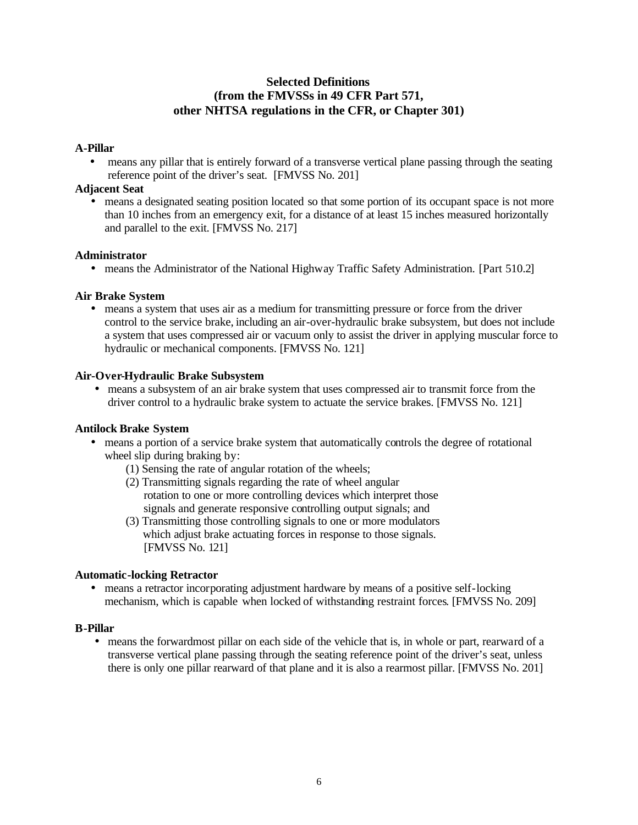## **Selected Definitions (from the FMVSSs in 49 CFR Part 571, other NHTSA regulations in the CFR, or Chapter 301)**

## **A-Pillar**

• means any pillar that is entirely forward of a transverse vertical plane passing through the seating reference point of the driver's seat. [FMVSS No. 201]

## **Adjacent Seat**

• means a designated seating position located so that some portion of its occupant space is not more than 10 inches from an emergency exit, for a distance of at least 15 inches measured horizontally and parallel to the exit. [FMVSS No. 217]

## **Administrator**

• means the Administrator of the National Highway Traffic Safety Administration. [Part 510.2]

## **Air Brake System**

• means a system that uses air as a medium for transmitting pressure or force from the driver control to the service brake, including an air-over-hydraulic brake subsystem, but does not include a system that uses compressed air or vacuum only to assist the driver in applying muscular force to hydraulic or mechanical components. [FMVSS No. 121]

## **Air-Over-Hydraulic Brake Subsystem**

• means a subsystem of an air brake system that uses compressed air to transmit force from the driver control to a hydraulic brake system to actuate the service brakes. [FMVSS No. 121]

## **Antilock Brake System**

- means a portion of a service brake system that automatically controls the degree of rotational wheel slip during braking by:
	- (1) Sensing the rate of angular rotation of the wheels;
	- (2) Transmitting signals regarding the rate of wheel angular rotation to one or more controlling devices which interpret those signals and generate responsive controlling output signals; and
	- (3) Transmitting those controlling signals to one or more modulators which adjust brake actuating forces in response to those signals. [FMVSS No. 121]

## **Automatic-locking Retractor**

• means a retractor incorporating adjustment hardware by means of a positive self-locking mechanism, which is capable when locked of withstanding restraint forces. [FMVSS No. 209]

## **B-Pillar**

• means the forwardmost pillar on each side of the vehicle that is, in whole or part, rearward of a transverse vertical plane passing through the seating reference point of the driver's seat, unless there is only one pillar rearward of that plane and it is also a rearmost pillar. [FMVSS No. 201]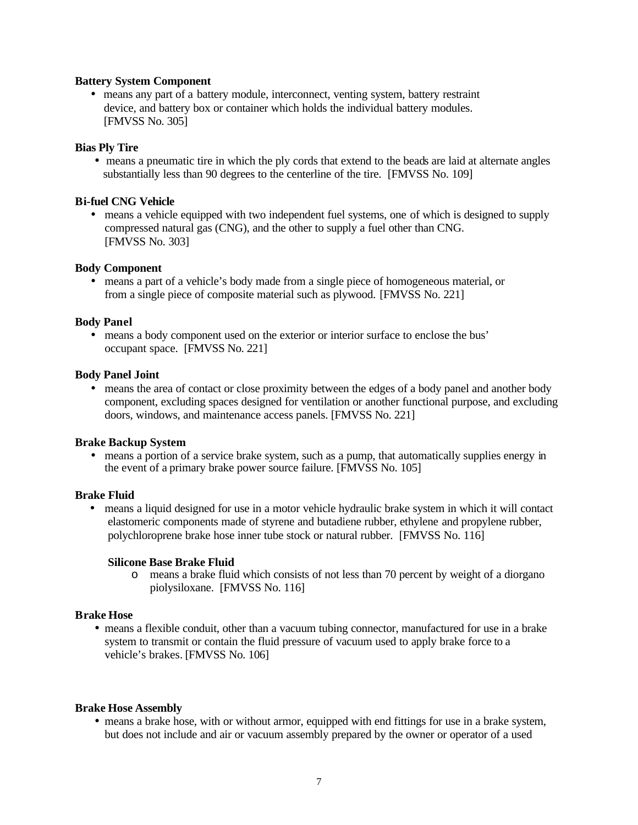### **Battery System Component**

• means any part of a battery module, interconnect, venting system, battery restraint device, and battery box or container which holds the individual battery modules. [FMVSS No. 305]

### **Bias Ply Tire**

• means a pneumatic tire in which the ply cords that extend to the beads are laid at alternate angles substantially less than 90 degrees to the centerline of the tire. [FMVSS No. 109]

### **Bi-fuel CNG Vehicle**

• means a vehicle equipped with two independent fuel systems, one of which is designed to supply compressed natural gas (CNG), and the other to supply a fuel other than CNG. [FMVSS No. 303]

### **Body Component**

• means a part of a vehicle's body made from a single piece of homogeneous material, or from a single piece of composite material such as plywood. [FMVSS No. 221]

### **Body Panel**

• means a body component used on the exterior or interior surface to enclose the bus' occupant space. [FMVSS No. 221]

### **Body Panel Joint**

• means the area of contact or close proximity between the edges of a body panel and another body component, excluding spaces designed for ventilation or another functional purpose, and excluding doors, windows, and maintenance access panels. [FMVSS No. 221]

#### **Brake Backup System**

• means a portion of a service brake system, such as a pump, that automatically supplies energy in the event of a primary brake power source failure. [FMVSS No. 105]

## **Brake Fluid**

• means a liquid designed for use in a motor vehicle hydraulic brake system in which it will contact elastomeric components made of styrene and butadiene rubber, ethylene and propylene rubber, polychloroprene brake hose inner tube stock or natural rubber. [FMVSS No. 116]

#### **Silicone Base Brake Fluid**

o means a brake fluid which consists of not less than 70 percent by weight of a diorgano piolysiloxane. [FMVSS No. 116]

### **Brake Hose**

• means a flexible conduit, other than a vacuum tubing connector, manufactured for use in a brake system to transmit or contain the fluid pressure of vacuum used to apply brake force to a vehicle's brakes. [FMVSS No. 106]

#### **Brake Hose Assembly**

• means a brake hose, with or without armor, equipped with end fittings for use in a brake system, but does not include and air or vacuum assembly prepared by the owner or operator of a used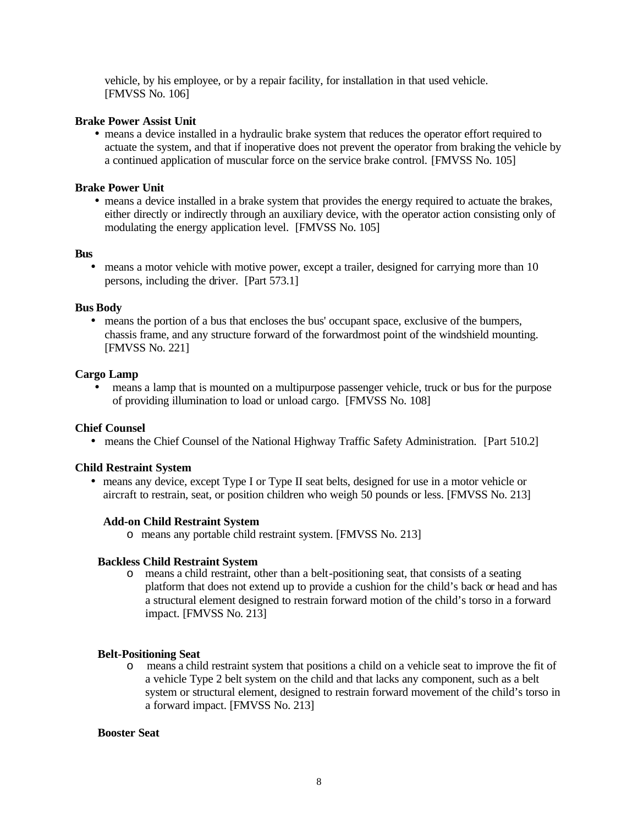vehicle, by his employee, or by a repair facility, for installation in that used vehicle. [FMVSS No. 106]

### **Brake Power Assist Unit**

• means a device installed in a hydraulic brake system that reduces the operator effort required to actuate the system, and that if inoperative does not prevent the operator from braking the vehicle by a continued application of muscular force on the service brake control. [FMVSS No. 105]

### **Brake Power Unit**

• means a device installed in a brake system that provides the energy required to actuate the brakes, either directly or indirectly through an auxiliary device, with the operator action consisting only of modulating the energy application level. [FMVSS No. 105]

### **Bus**

• means a motor vehicle with motive power, except a trailer, designed for carrying more than 10 persons, including the driver. [Part 573.1]

### **Bus Body**

• means the portion of a bus that encloses the bus' occupant space, exclusive of the bumpers, chassis frame, and any structure forward of the forwardmost point of the windshield mounting. [FMVSS No. 221]

### **Cargo Lamp**

• means a lamp that is mounted on a multipurpose passenger vehicle, truck or bus for the purpose of providing illumination to load or unload cargo. [FMVSS No. 108]

## **Chief Counsel**

• means the Chief Counsel of the National Highway Traffic Safety Administration. [Part 510.2]

## **Child Restraint System**

• means any device, except Type I or Type II seat belts, designed for use in a motor vehicle or aircraft to restrain, seat, or position children who weigh 50 pounds or less. [FMVSS No. 213]

#### **Add-on Child Restraint System**

o means any portable child restraint system. [FMVSS No. 213]

## **Backless Child Restraint System**

o means a child restraint, other than a belt-positioning seat, that consists of a seating platform that does not extend up to provide a cushion for the child's back or head and has a structural element designed to restrain forward motion of the child's torso in a forward impact. [FMVSS No. 213]

#### **Belt-Positioning Seat**

o means a child restraint system that positions a child on a vehicle seat to improve the fit of a vehicle Type 2 belt system on the child and that lacks any component, such as a belt system or structural element, designed to restrain forward movement of the child's torso in a forward impact. [FMVSS No. 213]

#### **Booster Seat**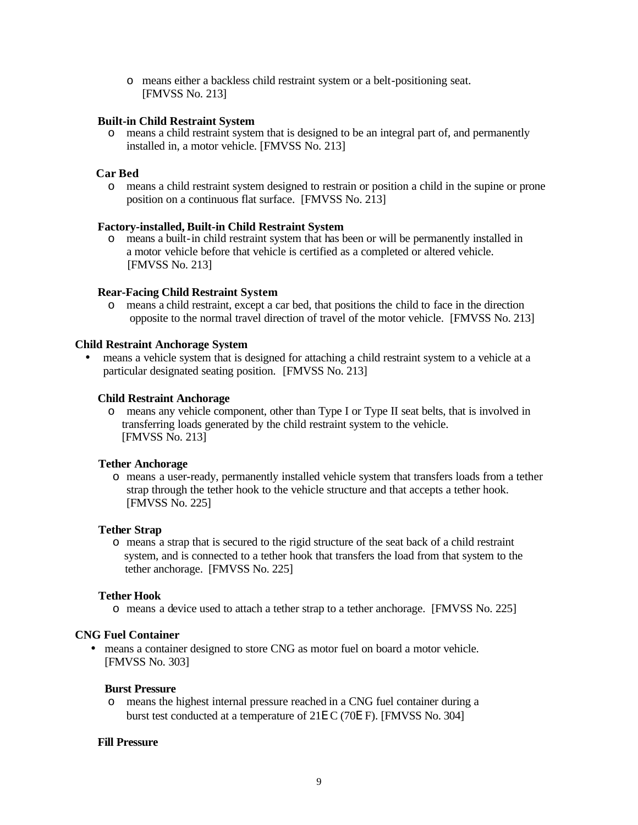o means either a backless child restraint system or a belt-positioning seat. [FMVSS No. 213]

### **Built-in Child Restraint System**

o means a child restraint system that is designed to be an integral part of, and permanently installed in, a motor vehicle. [FMVSS No. 213]

### **Car Bed**

o means a child restraint system designed to restrain or position a child in the supine or prone position on a continuous flat surface. [FMVSS No. 213]

### **Factory-installed, Built-in Child Restraint System**

o means a built-in child restraint system that has been or will be permanently installed in a motor vehicle before that vehicle is certified as a completed or altered vehicle. [FMVSS No. 213]

### **Rear-Facing Child Restraint System**

o means a child restraint, except a car bed, that positions the child to face in the direction opposite to the normal travel direction of travel of the motor vehicle. [FMVSS No. 213]

## **Child Restraint Anchorage System**

• means a vehicle system that is designed for attaching a child restraint system to a vehicle at a particular designated seating position. [FMVSS No. 213]

### **Child Restraint Anchorage**

o means any vehicle component, other than Type I or Type II seat belts, that is involved in transferring loads generated by the child restraint system to the vehicle. [FMVSS No. 213]

#### **Tether Anchorage**

o means a user-ready, permanently installed vehicle system that transfers loads from a tether strap through the tether hook to the vehicle structure and that accepts a tether hook. [FMVSS No. 225]

#### **Tether Strap**

o means a strap that is secured to the rigid structure of the seat back of a child restraint system, and is connected to a tether hook that transfers the load from that system to the tether anchorage. [FMVSS No. 225]

## **Tether Hook**

o means a device used to attach a tether strap to a tether anchorage. [FMVSS No. 225]

## **CNG Fuel Container**

• means a container designed to store CNG as motor fuel on board a motor vehicle. [FMVSS No. 303]

#### **Burst Pressure**

o means the highest internal pressure reached in a CNG fuel container during a burst test conducted at a temperature of 21E C (70E F). [FMVSS No. 304]

## **Fill Pressure**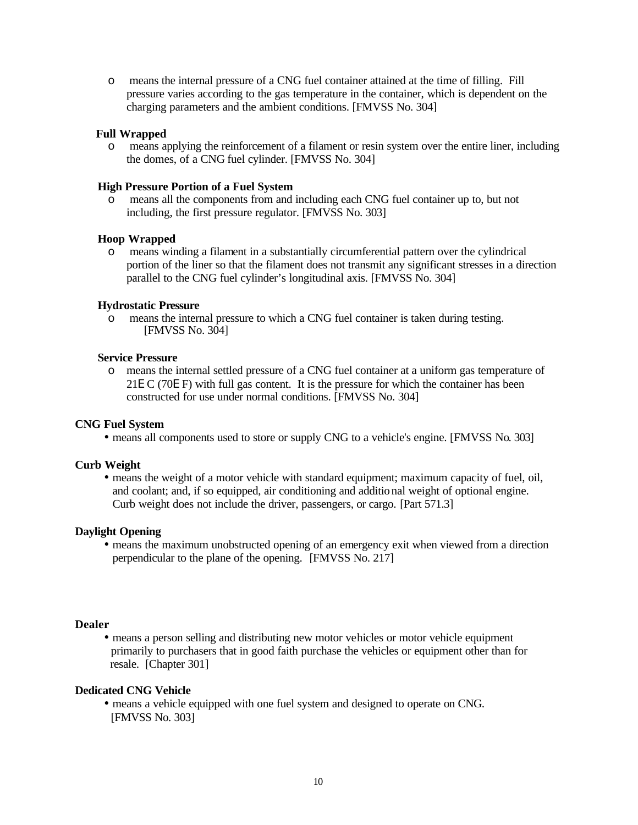o means the internal pressure of a CNG fuel container attained at the time of filling. Fill pressure varies according to the gas temperature in the container, which is dependent on the charging parameters and the ambient conditions. [FMVSS No. 304]

## **Full Wrapped**

o means applying the reinforcement of a filament or resin system over the entire liner, including the domes, of a CNG fuel cylinder. [FMVSS No. 304]

#### **High Pressure Portion of a Fuel System**

o means all the components from and including each CNG fuel container up to, but not including, the first pressure regulator. [FMVSS No. 303]

### **Hoop Wrapped**

o means winding a filament in a substantially circumferential pattern over the cylindrical portion of the liner so that the filament does not transmit any significant stresses in a direction parallel to the CNG fuel cylinder's longitudinal axis. [FMVSS No. 304]

### **Hydrostatic Pressure**

o means the internal pressure to which a CNG fuel container is taken during testing. [FMVSS No. 304]

### **Service Pressure**

o means the internal settled pressure of a CNG fuel container at a uniform gas temperature of 21E C (70E F) with full gas content. It is the pressure for which the container has been constructed for use under normal conditions. [FMVSS No. 304]

## **CNG Fuel System**

• means all components used to store or supply CNG to a vehicle's engine. [FMVSS No. 303]

#### **Curb Weight**

• means the weight of a motor vehicle with standard equipment; maximum capacity of fuel, oil, and coolant; and, if so equipped, air conditioning and additional weight of optional engine. Curb weight does not include the driver, passengers, or cargo. [Part 571.3]

#### **Daylight Opening**

• means the maximum unobstructed opening of an emergency exit when viewed from a direction perpendicular to the plane of the opening. [FMVSS No. 217]

#### **Dealer**

• means a person selling and distributing new motor vehicles or motor vehicle equipment primarily to purchasers that in good faith purchase the vehicles or equipment other than for resale. [Chapter 301]

#### **Dedicated CNG Vehicle**

• means a vehicle equipped with one fuel system and designed to operate on CNG. [FMVSS No. 303]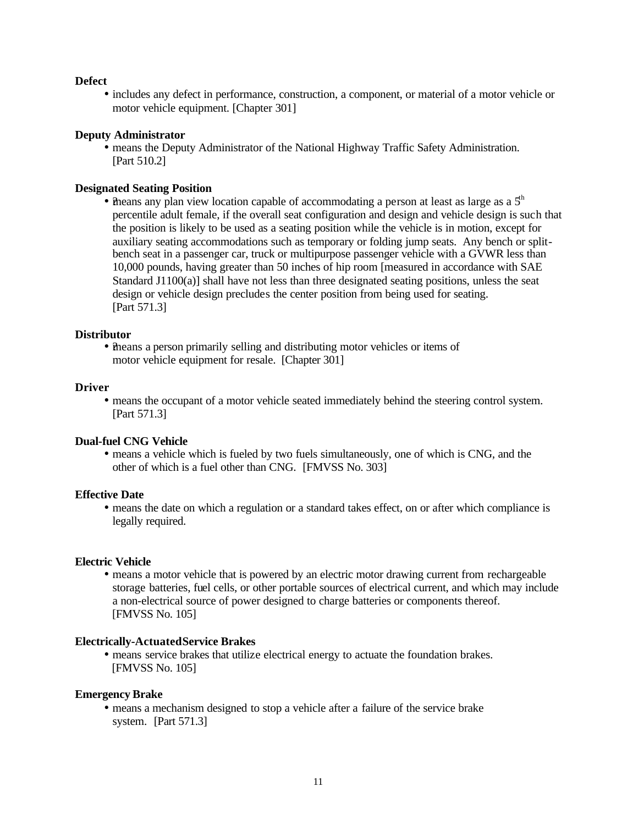## **Defect**

• includes any defect in performance, construction, a component, or material of a motor vehicle or motor vehicle equipment. [Chapter 301]

## **Deputy Administrator**

• means the Deputy Administrator of the National Highway Traffic Safety Administration. [Part 510.2]

### **Designated Seating Position**

• the means any plan view location capable of accommodating a person at least as large as a  $5<sup>th</sup>$ percentile adult female, if the overall seat configuration and design and vehicle design is such that the position is likely to be used as a seating position while the vehicle is in motion, except for auxiliary seating accommodations such as temporary or folding jump seats. Any bench or splitbench seat in a passenger car, truck or multipurpose passenger vehicle with a GVWR less than 10,000 pounds, having greater than 50 inches of hip room [measured in accordance with SAE Standard J1100(a)] shall have not less than three designated seating positions, unless the seat design or vehicle design precludes the center position from being used for seating. [Part 571.3]

### **Distributor**

• the ans a person primarily selling and distributing motor vehicles or items of motor vehicle equipment for resale. [Chapter 301]

### **Driver**

• means the occupant of a motor vehicle seated immediately behind the steering control system. [Part 571.3]

#### **Dual-fuel CNG Vehicle**

• means a vehicle which is fueled by two fuels simultaneously, one of which is CNG, and the other of which is a fuel other than CNG. [FMVSS No. 303]

#### **Effective Date**

• means the date on which a regulation or a standard takes effect, on or after which compliance is legally required.

#### **Electric Vehicle**

• means a motor vehicle that is powered by an electric motor drawing current from rechargeable storage batteries, fuel cells, or other portable sources of electrical current, and which may include a non-electrical source of power designed to charge batteries or components thereof. [FMVSS No. 105]

### **Electrically-Actuated Service Brakes**

• means service brakes that utilize electrical energy to actuate the foundation brakes. [FMVSS No. 105]

#### **Emergency Brake**

• means a mechanism designed to stop a vehicle after a failure of the service brake system. [Part 571.3]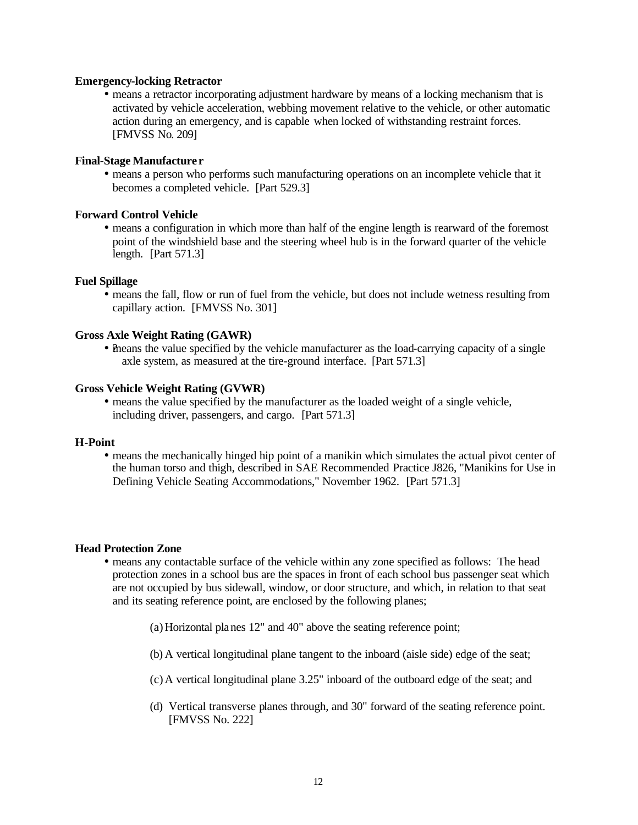### **Emergency-locking Retractor**

• means a retractor incorporating adjustment hardware by means of a locking mechanism that is activated by vehicle acceleration, webbing movement relative to the vehicle, or other automatic action during an emergency, and is capable when locked of withstanding restraint forces. [FMVSS No. 209]

#### **Final-Stage Manufacture r**

• means a person who performs such manufacturing operations on an incomplete vehicle that it becomes a completed vehicle. [Part 529.3]

### **Forward Control Vehicle**

• means a configuration in which more than half of the engine length is rearward of the foremost point of the windshield base and the steering wheel hub is in the forward quarter of the vehicle length. [Part 571.3]

#### **Fuel Spillage**

• means the fall, flow or run of fuel from the vehicle, but does not include wetness resulting from capillary action. [FMVSS No. 301]

### **Gross Axle Weight Rating (GAWR)**

• the value specified by the vehicle manufacturer as the load-carrying capacity of a single axle system, as measured at the tire-ground interface. [Part 571.3]

#### **Gross Vehicle Weight Rating (GVWR)**

• means the value specified by the manufacturer as the loaded weight of a single vehicle, including driver, passengers, and cargo. [Part 571.3]

#### **H-Point**

• means the mechanically hinged hip point of a manikin which simulates the actual pivot center of the human torso and thigh, described in SAE Recommended Practice J826, "Manikins for Use in Defining Vehicle Seating Accommodations," November 1962. [Part 571.3]

#### **Head Protection Zone**

- means any contactable surface of the vehicle within any zone specified as follows: The head protection zones in a school bus are the spaces in front of each school bus passenger seat which are not occupied by bus sidewall, window, or door structure, and which, in relation to that seat and its seating reference point, are enclosed by the following planes;
	- (a)Horizontal planes 12" and 40" above the seating reference point;
	- (b) A vertical longitudinal plane tangent to the inboard (aisle side) edge of the seat;
	- (c)A vertical longitudinal plane 3.25" inboard of the outboard edge of the seat; and
	- (d) Vertical transverse planes through, and 30" forward of the seating reference point. [FMVSS No. 222]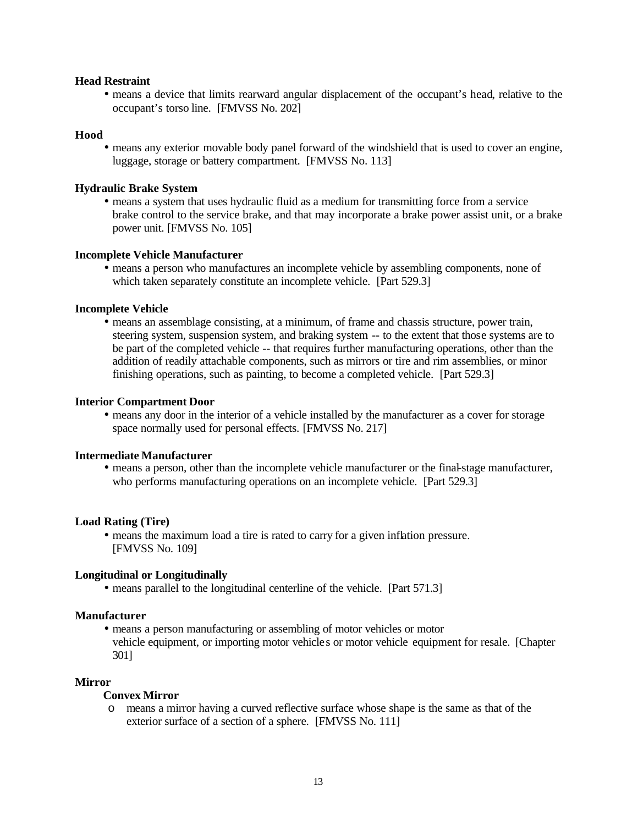### **Head Restraint**

• means a device that limits rearward angular displacement of the occupant's head, relative to the occupant's torso line. [FMVSS No. 202]

#### **Hood**

• means any exterior movable body panel forward of the windshield that is used to cover an engine, luggage, storage or battery compartment. [FMVSS No. 113]

### **Hydraulic Brake System**

• means a system that uses hydraulic fluid as a medium for transmitting force from a service brake control to the service brake, and that may incorporate a brake power assist unit, or a brake power unit. [FMVSS No. 105]

## **Incomplete Vehicle Manufacturer**

• means a person who manufactures an incomplete vehicle by assembling components, none of which taken separately constitute an incomplete vehicle. [Part 529.3]

### **Incomplete Vehicle**

• means an assemblage consisting, at a minimum, of frame and chassis structure, power train, steering system, suspension system, and braking system -- to the extent that those systems are to be part of the completed vehicle -- that requires further manufacturing operations, other than the addition of readily attachable components, such as mirrors or tire and rim assemblies, or minor finishing operations, such as painting, to become a completed vehicle. [Part 529.3]

#### **Interior Compartment Door**

• means any door in the interior of a vehicle installed by the manufacturer as a cover for storage space normally used for personal effects. [FMVSS No. 217]

#### **Intermediate Manufacturer**

• means a person, other than the incomplete vehicle manufacturer or the final-stage manufacturer, who performs manufacturing operations on an incomplete vehicle. [Part 529.3]

#### **Load Rating (Tire)**

• means the maximum load a tire is rated to carry for a given inflation pressure. [FMVSS No. 109]

#### **Longitudinal or Longitudinally**

• means parallel to the longitudinal centerline of the vehicle. [Part 571.3]

#### **Manufacturer**

• means a person manufacturing or assembling of motor vehicles or motor vehicle equipment, or importing motor vehicles or motor vehicle equipment for resale. [Chapter] 301]

### **Mirror**

## **Convex Mirror**

o means a mirror having a curved reflective surface whose shape is the same as that of the exterior surface of a section of a sphere. [FMVSS No. 111]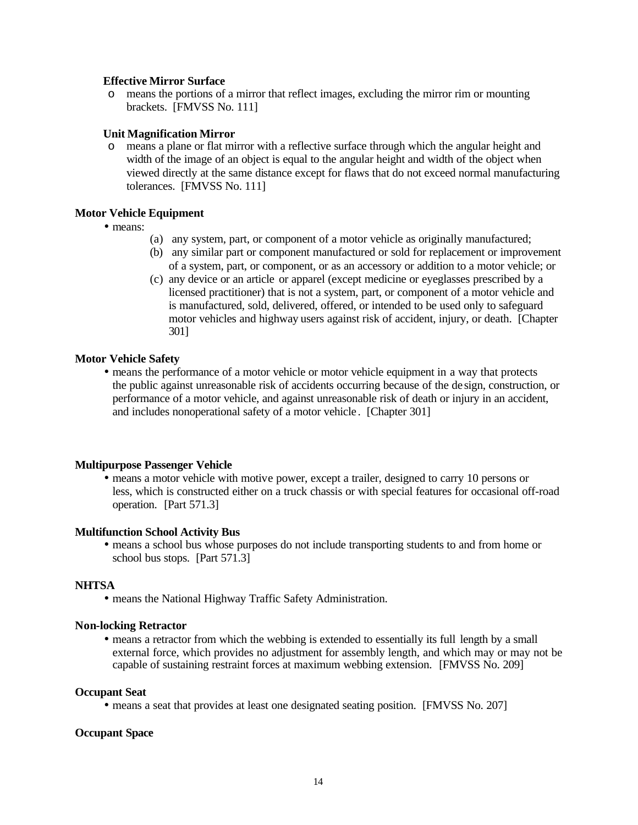### **Effective Mirror Surface**

o means the portions of a mirror that reflect images, excluding the mirror rim or mounting brackets. [FMVSS No. 111]

### **Unit Magnification Mirror**

o means a plane or flat mirror with a reflective surface through which the angular height and width of the image of an object is equal to the angular height and width of the object when viewed directly at the same distance except for flaws that do not exceed normal manufacturing tolerances. [FMVSS No. 111]

## **Motor Vehicle Equipment**

- means:
- (a) any system, part, or component of a motor vehicle as originally manufactured;
- (b) any similar part or component manufactured or sold for replacement or improvement of a system, part, or component, or as an accessory or addition to a motor vehicle; or
- (c) any device or an article or apparel (except medicine or eyeglasses prescribed by a licensed practitioner) that is not a system, part, or component of a motor vehicle and is manufactured, sold, delivered, offered, or intended to be used only to safeguard motor vehicles and highway users against risk of accident, injury, or death. [Chapter 301]

### **Motor Vehicle Safety**

• means the performance of a motor vehicle or motor vehicle equipment in a way that protects the public against unreasonable risk of accidents occurring because of the de sign, construction, or performance of a motor vehicle, and against unreasonable risk of death or injury in an accident, and includes nonoperational safety of a motor vehicle . [Chapter 301]

#### **Multipurpose Passenger Vehicle**

• means a motor vehicle with motive power, except a trailer, designed to carry 10 persons or less, which is constructed either on a truck chassis or with special features for occasional off-road operation. [Part 571.3]

### **Multifunction School Activity Bus**

• means a school bus whose purposes do not include transporting students to and from home or school bus stops. [Part 571.3]

#### **NHTSA**

• means the National Highway Traffic Safety Administration.

#### **Non-locking Retractor**

• means a retractor from which the webbing is extended to essentially its full length by a small external force, which provides no adjustment for assembly length, and which may or may not be capable of sustaining restraint forces at maximum webbing extension. [FMVSS No. 209]

#### **Occupant Seat**

• means a seat that provides at least one designated seating position. [FMVSS No. 207]

### **Occupant Space**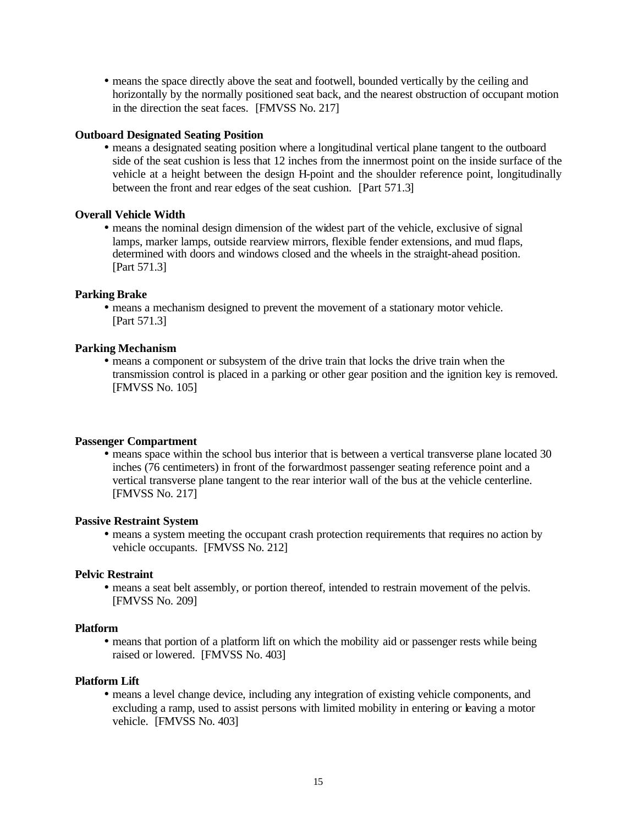• means the space directly above the seat and footwell, bounded vertically by the ceiling and horizontally by the normally positioned seat back, and the nearest obstruction of occupant motion in the direction the seat faces. [FMVSS No. 217]

### **Outboard Designated Seating Position**

• means a designated seating position where a longitudinal vertical plane tangent to the outboard side of the seat cushion is less that 12 inches from the innermost point on the inside surface of the vehicle at a height between the design H-point and the shoulder reference point, longitudinally between the front and rear edges of the seat cushion. [Part 571.3]

### **Overall Vehicle Width**

• means the nominal design dimension of the widest part of the vehicle, exclusive of signal lamps, marker lamps, outside rearview mirrors, flexible fender extensions, and mud flaps, determined with doors and windows closed and the wheels in the straight-ahead position. [Part 571.3]

### **Parking Brake**

• means a mechanism designed to prevent the movement of a stationary motor vehicle. [Part 571.3]

#### **Parking Mechanism**

• means a component or subsystem of the drive train that locks the drive train when the transmission control is placed in a parking or other gear position and the ignition key is removed. [FMVSS No. 105]

#### **Passenger Compartment**

• means space within the school bus interior that is between a vertical transverse plane located 30 inches (76 centimeters) in front of the forwardmost passenger seating reference point and a vertical transverse plane tangent to the rear interior wall of the bus at the vehicle centerline. [FMVSS No. 217]

#### **Passive Restraint System**

• means a system meeting the occupant crash protection requirements that requires no action by vehicle occupants. [FMVSS No. 212]

#### **Pelvic Restraint**

• means a seat belt assembly, or portion thereof, intended to restrain movement of the pelvis. [FMVSS No. 209]

#### **Platform**

• means that portion of a platform lift on which the mobility aid or passenger rests while being raised or lowered. [FMVSS No. 403]

#### **Platform Lift**

• means a level change device, including any integration of existing vehicle components, and excluding a ramp, used to assist persons with limited mobility in entering or leaving a motor vehicle. [FMVSS No. 403]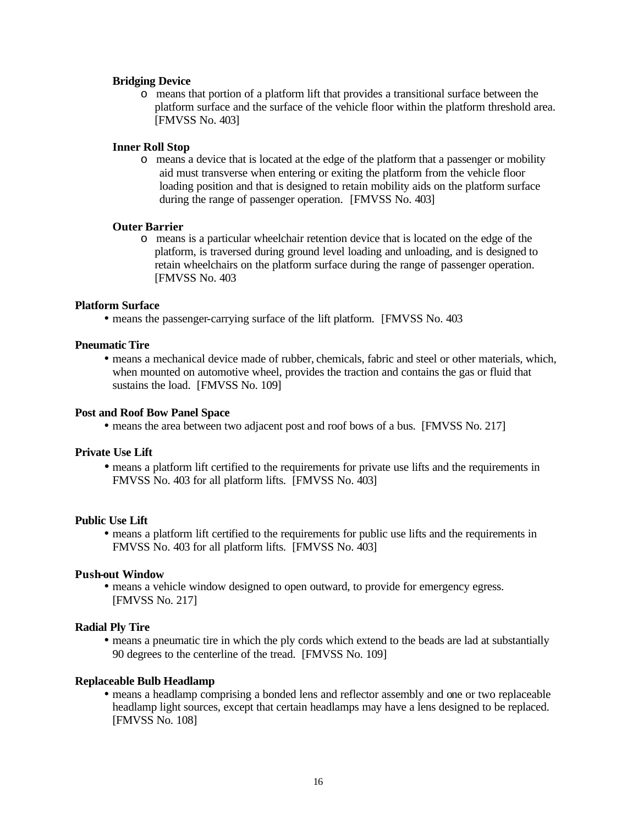### **Bridging Device**

o means that portion of a platform lift that provides a transitional surface between the platform surface and the surface of the vehicle floor within the platform threshold area. [FMVSS No. 403]

### **Inner Roll Stop**

o means a device that is located at the edge of the platform that a passenger or mobility aid must transverse when entering or exiting the platform from the vehicle floor loading position and that is designed to retain mobility aids on the platform surface during the range of passenger operation. [FMVSS No. 403]

### **Outer Barrier**

o means is a particular wheelchair retention device that is located on the edge of the platform, is traversed during ground level loading and unloading, and is designed to retain wheelchairs on the platform surface during the range of passenger operation. [FMVSS No. 403

### **Platform Surface**

• means the passenger-carrying surface of the lift platform. [FMVSS No. 403]

#### **Pneumatic Tire**

• means a mechanical device made of rubber, chemicals, fabric and steel or other materials, which, when mounted on automotive wheel, provides the traction and contains the gas or fluid that sustains the load. [FMVSS No. 109]

#### **Post and Roof Bow Panel Space**

• means the area between two adjacent post and roof bows of a bus. [FMVSS No. 217]

#### **Private Use Lift**

• means a platform lift certified to the requirements for private use lifts and the requirements in FMVSS No. 403 for all platform lifts. [FMVSS No. 403]

#### **Public Use Lift**

• means a platform lift certified to the requirements for public use lifts and the requirements in FMVSS No. 403 for all platform lifts. [FMVSS No. 403]

#### **Push-out Window**

• means a vehicle window designed to open outward, to provide for emergency egress. [FMVSS No. 217]

## **Radial Ply Tire**

• means a pneumatic tire in which the ply cords which extend to the beads are lad at substantially 90 degrees to the centerline of the tread. [FMVSS No. 109]

#### **Replaceable Bulb Headlamp**

• means a headlamp comprising a bonded lens and reflector assembly and one or two replaceable headlamp light sources, except that certain headlamps may have a lens designed to be replaced. [FMVSS No. 108]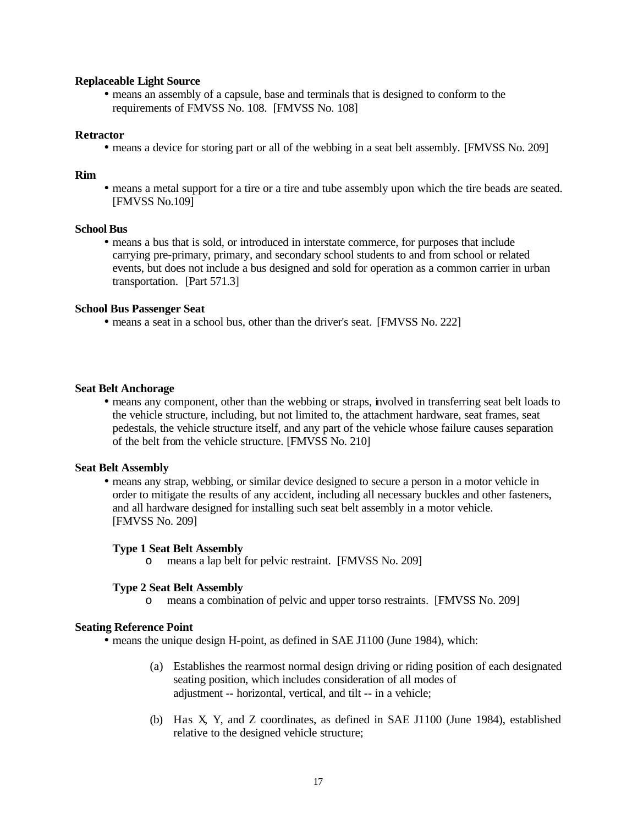#### **Replaceable Light Source**

• means an assembly of a capsule, base and terminals that is designed to conform to the requirements of FMVSS No. 108. [FMVSS No. 108]

#### **Retractor**

• means a device for storing part or all of the webbing in a seat belt assembly. [FMVSS No. 209]

#### **Rim**

• means a metal support for a tire or a tire and tube assembly upon which the tire beads are seated. [FMVSS No.109]

### **School Bus**

• means a bus that is sold, or introduced in interstate commerce, for purposes that include carrying pre-primary, primary, and secondary school students to and from school or related events, but does not include a bus designed and sold for operation as a common carrier in urban transportation. [Part 571.3]

## **School Bus Passenger Seat**

• means a seat in a school bus, other than the driver's seat. [FMVSS No. 222]

### **Seat Belt Anchorage**

• means any component, other than the webbing or straps, involved in transferring seat belt loads to the vehicle structure, including, but not limited to, the attachment hardware, seat frames, seat pedestals, the vehicle structure itself, and any part of the vehicle whose failure causes separation of the belt from the vehicle structure. [FMVSS No. 210]

## **Seat Belt Assembly**

• means any strap, webbing, or similar device designed to secure a person in a motor vehicle in order to mitigate the results of any accident, including all necessary buckles and other fasteners, and all hardware designed for installing such seat belt assembly in a motor vehicle. [FMVSS No. 209]

#### **Type 1 Seat Belt Assembly**

o means a lap belt for pelvic restraint. [FMVSS No. 209]

## **Type 2 Seat Belt Assembly**

o means a combination of pelvic and upper torso restraints. [FMVSS No. 209]

#### **Seating Reference Point**

• means the unique design H-point, as defined in SAE J1100 (June 1984), which:

- (a) Establishes the rearmost normal design driving or riding position of each designated seating position, which includes consideration of all modes of adjustment -- horizontal, vertical, and tilt -- in a vehicle;
- (b) Has X, Y, and Z coordinates, as defined in SAE J1100 (June 1984), established relative to the designed vehicle structure;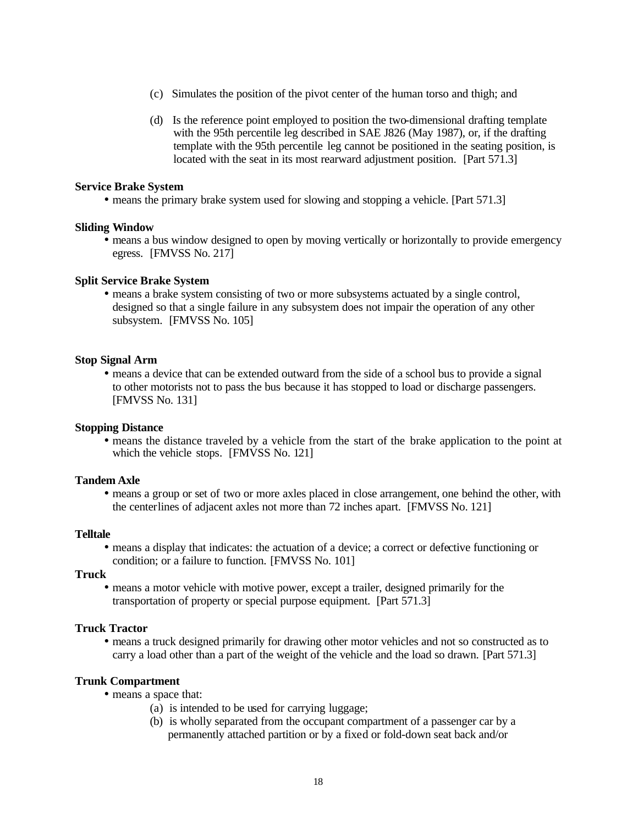- (c) Simulates the position of the pivot center of the human torso and thigh; and
- (d) Is the reference point employed to position the two-dimensional drafting template with the 95th percentile leg described in SAE J826 (May 1987), or, if the drafting template with the 95th percentile leg cannot be positioned in the seating position, is located with the seat in its most rearward adjustment position. [Part 571.3]

#### **Service Brake System**

• means the primary brake system used for slowing and stopping a vehicle. [Part 571.3]

### **Sliding Window**

• means a bus window designed to open by moving vertically or horizontally to provide emergency egress. [FMVSS No. 217]

### **Split Service Brake System**

• means a brake system consisting of two or more subsystems actuated by a single control, designed so that a single failure in any subsystem does not impair the operation of any other subsystem. [FMVSS No. 105]

#### **Stop Signal Arm**

• means a device that can be extended outward from the side of a school bus to provide a signal to other motorists not to pass the bus because it has stopped to load or discharge passengers. [FMVSS No. 131]

#### **Stopping Distance**

• means the distance traveled by a vehicle from the start of the brake application to the point at which the vehicle stops. [FMVSS No. 121]

#### **Tandem Axle**

• means a group or set of two or more axles placed in close arrangement, one behind the other, with the centerlines of adjacent axles not more than 72 inches apart. [FMVSS No. 121]

#### **Telltale**

• means a display that indicates: the actuation of a device; a correct or defective functioning or condition; or a failure to function. [FMVSS No. 101]

### **Truck**

• means a motor vehicle with motive power, except a trailer, designed primarily for the transportation of property or special purpose equipment. [Part 571.3]

#### **Truck Tractor**

• means a truck designed primarily for drawing other motor vehicles and not so constructed as to carry a load other than a part of the weight of the vehicle and the load so drawn. [Part 571.3]

## **Trunk Compartment**

- means a space that:
	- (a) is intended to be used for carrying luggage;
	- (b) is wholly separated from the occupant compartment of a passenger car by a permanently attached partition or by a fixed or fold-down seat back and/or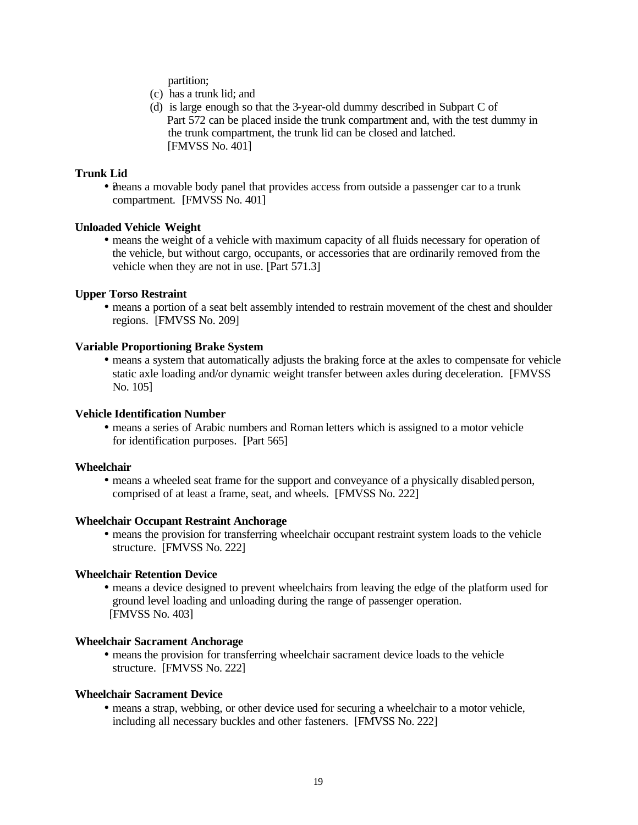partition;

- (c) has a trunk lid; and
- (d) is large enough so that the 3-year-old dummy described in Subpart C of Part 572 can be placed inside the trunk compartment and, with the test dummy in the trunk compartment, the trunk lid can be closed and latched. [FMVSS No. 401]

## **Trunk Lid**

• the ans a movable body panel that provides access from outside a passenger car to a trunk compartment. [FMVSS No. 401]

### **Unloaded Vehicle Weight**

• means the weight of a vehicle with maximum capacity of all fluids necessary for operation of the vehicle, but without cargo, occupants, or accessories that are ordinarily removed from the vehicle when they are not in use. [Part 571.3]

### **Upper Torso Restraint**

• means a portion of a seat belt assembly intended to restrain movement of the chest and shoulder regions. [FMVSS No. 209]

### **Variable Proportioning Brake System**

• means a system that automatically adjusts the braking force at the axles to compensate for vehicle static axle loading and/or dynamic weight transfer between axles during deceleration. [FMVSS No. 105]

#### **Vehicle Identification Number**

• means a series of Arabic numbers and Roman letters which is assigned to a motor vehicle for identification purposes. [Part 565]

#### **Wheelchair**

• means a wheeled seat frame for the support and conveyance of a physically disabled person, comprised of at least a frame, seat, and wheels. [FMVSS No. 222]

## **Wheelchair Occupant Restraint Anchorage**

• means the provision for transferring wheelchair occupant restraint system loads to the vehicle structure. [FMVSS No. 222]

#### **Wheelchair Retention Device**

• means a device designed to prevent wheelchairs from leaving the edge of the platform used for ground level loading and unloading during the range of passenger operation. [FMVSS No. 403]

#### **Wheelchair Sacrament Anchorage**

• means the provision for transferring wheelchair sacrament device loads to the vehicle structure. [FMVSS No. 222]

#### **Wheelchair Sacrament Device**

• means a strap, webbing, or other device used for securing a wheelchair to a motor vehicle, including all necessary buckles and other fasteners. [FMVSS No. 222]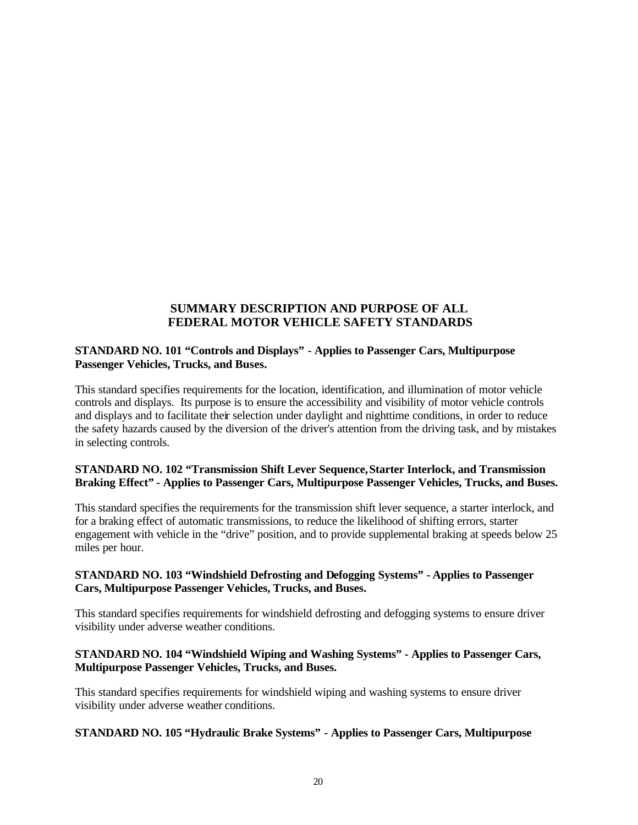## **SUMMARY DESCRIPTION AND PURPOSE OF ALL FEDERAL MOTOR VEHICLE SAFETY STANDARDS**

## **STANDARD NO. 101 "Controls and Displays" - Applies to Passenger Cars, Multipurpose Passenger Vehicles, Trucks, and Buses.**

This standard specifies requirements for the location, identification, and illumination of motor vehicle controls and displays. Its purpose is to ensure the accessibility and visibility of motor vehicle controls and displays and to facilitate their selection under daylight and nighttime conditions, in order to reduce the safety hazards caused by the diversion of the driver's attention from the driving task, and by mistakes in selecting controls.

## **STANDARD NO. 102 "Transmission Shift Lever Sequence, Starter Interlock, and Transmission Braking Effect" - Applies to Passenger Cars, Multipurpose Passenger Vehicles, Trucks, and Buses.**

This standard specifies the requirements for the transmission shift lever sequence, a starter interlock, and for a braking effect of automatic transmissions, to reduce the likelihood of shifting errors, starter engagement with vehicle in the "drive" position, and to provide supplemental braking at speeds below 25 miles per hour.

## **STANDARD NO. 103 "Windshield Defrosting and Defogging Systems" - Applies to Passenger Cars, Multipurpose Passenger Vehicles, Trucks, and Buses.**

This standard specifies requirements for windshield defrosting and defogging systems to ensure driver visibility under adverse weather conditions.

## **STANDARD NO. 104 "Windshield Wiping and Washing Systems" - Applies to Passenger Cars, Multipurpose Passenger Vehicles, Trucks, and Buses.**

This standard specifies requirements for windshield wiping and washing systems to ensure driver visibility under adverse weather conditions.

## **STANDARD NO. 105 "Hydraulic Brake Systems" - Applies to Passenger Cars, Multipurpose**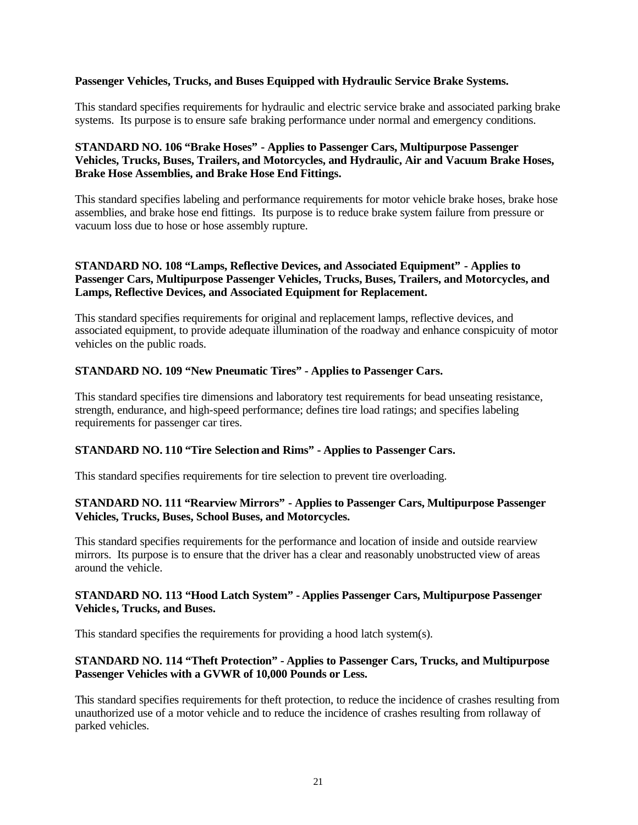## **Passenger Vehicles, Trucks, and Buses Equipped with Hydraulic Service Brake Systems.**

This standard specifies requirements for hydraulic and electric service brake and associated parking brake systems. Its purpose is to ensure safe braking performance under normal and emergency conditions.

## **STANDARD NO. 106 "Brake Hoses" - Applies to Passenger Cars, Multipurpose Passenger Vehicles, Trucks, Buses, Trailers, and Motorcycles, and Hydraulic, Air and Vacuum Brake Hoses, Brake Hose Assemblies, and Brake Hose End Fittings.**

This standard specifies labeling and performance requirements for motor vehicle brake hoses, brake hose assemblies, and brake hose end fittings. Its purpose is to reduce brake system failure from pressure or vacuum loss due to hose or hose assembly rupture.

## **STANDARD NO. 108 "Lamps, Reflective Devices, and Associated Equipment" - Applies to Passenger Cars, Multipurpose Passenger Vehicles, Trucks, Buses, Trailers, and Motorcycles, and Lamps, Reflective Devices, and Associated Equipment for Replacement.**

This standard specifies requirements for original and replacement lamps, reflective devices, and associated equipment, to provide adequate illumination of the roadway and enhance conspicuity of motor vehicles on the public roads.

## **STANDARD NO. 109 "New Pneumatic Tires" - Applies to Passenger Cars.**

This standard specifies tire dimensions and laboratory test requirements for bead unseating resistance, strength, endurance, and high-speed performance; defines tire load ratings; and specifies labeling requirements for passenger car tires.

## **STANDARD NO. 110 "Tire Selection and Rims" - Applies to Passenger Cars.**

This standard specifies requirements for tire selection to prevent tire overloading.

### **STANDARD NO. 111 "Rearview Mirrors" - Applies to Passenger Cars, Multipurpose Passenger Vehicles, Trucks, Buses, School Buses, and Motorcycles.**

This standard specifies requirements for the performance and location of inside and outside rearview mirrors. Its purpose is to ensure that the driver has a clear and reasonably unobstructed view of areas around the vehicle.

### **STANDARD NO. 113 "Hood Latch System" - Applies Passenger Cars, Multipurpose Passenger Vehicles, Trucks, and Buses.**

This standard specifies the requirements for providing a hood latch system(s).

### **STANDARD NO. 114 "Theft Protection" - Applies to Passenger Cars, Trucks, and Multipurpose Passenger Vehicles with a GVWR of 10,000 Pounds or Less.**

This standard specifies requirements for theft protection, to reduce the incidence of crashes resulting from unauthorized use of a motor vehicle and to reduce the incidence of crashes resulting from rollaway of parked vehicles.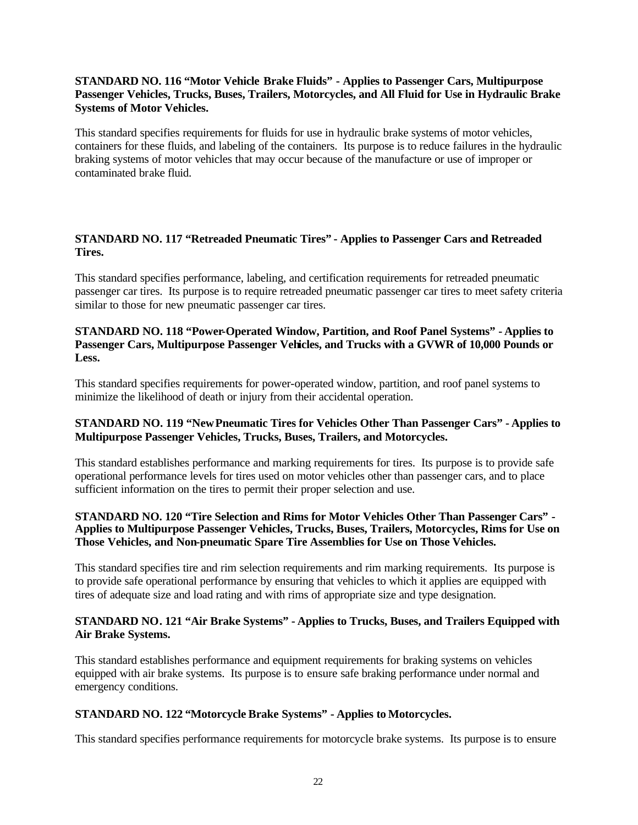## **STANDARD NO. 116 "Motor Vehicle Brake Fluids" - Applies to Passenger Cars, Multipurpose Passenger Vehicles, Trucks, Buses, Trailers, Motorcycles, and All Fluid for Use in Hydraulic Brake Systems of Motor Vehicles.**

This standard specifies requirements for fluids for use in hydraulic brake systems of motor vehicles, containers for these fluids, and labeling of the containers. Its purpose is to reduce failures in the hydraulic braking systems of motor vehicles that may occur because of the manufacture or use of improper or contaminated brake fluid.

## **STANDARD NO. 117 "Retreaded Pneumatic Tires" - Applies to Passenger Cars and Retreaded Tires.**

This standard specifies performance, labeling, and certification requirements for retreaded pneumatic passenger car tires. Its purpose is to require retreaded pneumatic passenger car tires to meet safety criteria similar to those for new pneumatic passenger car tires.

## **STANDARD NO. 118 "Power-Operated Window, Partition, and Roof Panel Systems" - Applies to Passenger Cars, Multipurpose Passenger Vehicles, and Trucks with a GVWR of 10,000 Pounds or Less.**

This standard specifies requirements for power-operated window, partition, and roof panel systems to minimize the likelihood of death or injury from their accidental operation.

## **STANDARD NO. 119 "New Pneumatic Tires for Vehicles Other Than Passenger Cars" - Applies to Multipurpose Passenger Vehicles, Trucks, Buses, Trailers, and Motorcycles.**

This standard establishes performance and marking requirements for tires. Its purpose is to provide safe operational performance levels for tires used on motor vehicles other than passenger cars, and to place sufficient information on the tires to permit their proper selection and use.

## **STANDARD NO. 120 "Tire Selection and Rims for Motor Vehicles Other Than Passenger Cars" - Applies to Multipurpose Passenger Vehicles, Trucks, Buses, Trailers, Motorcycles, Rims for Use on Those Vehicles, and Non-pneumatic Spare Tire Assemblies for Use on Those Vehicles.**

This standard specifies tire and rim selection requirements and rim marking requirements. Its purpose is to provide safe operational performance by ensuring that vehicles to which it applies are equipped with tires of adequate size and load rating and with rims of appropriate size and type designation.

## **STANDARD NO. 121 "Air Brake Systems" - Applies to Trucks, Buses, and Trailers Equipped with Air Brake Systems.**

This standard establishes performance and equipment requirements for braking systems on vehicles equipped with air brake systems. Its purpose is to ensure safe braking performance under normal and emergency conditions.

## **STANDARD NO. 122 "Motorcycle Brake Systems" - Applies to Motorcycles.**

This standard specifies performance requirements for motorcycle brake systems. Its purpose is to ensure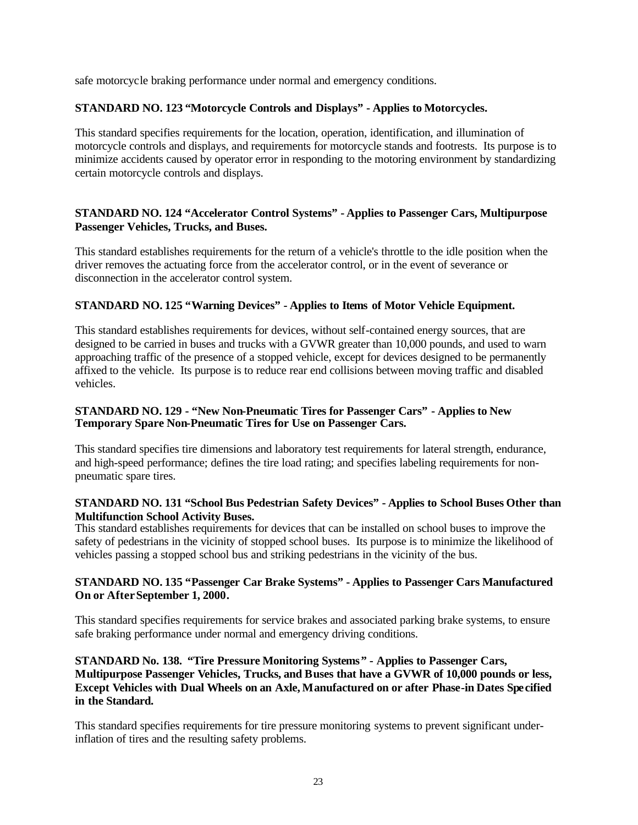safe motorcycle braking performance under normal and emergency conditions.

## **STANDARD NO. 123 "Motorcycle Controls and Displays" - Applies to Motorcycles.**

This standard specifies requirements for the location, operation, identification, and illumination of motorcycle controls and displays, and requirements for motorcycle stands and footrests. Its purpose is to minimize accidents caused by operator error in responding to the motoring environment by standardizing certain motorcycle controls and displays.

## **STANDARD NO. 124 "Accelerator Control Systems" - Applies to Passenger Cars, Multipurpose Passenger Vehicles, Trucks, and Buses.**

This standard establishes requirements for the return of a vehicle's throttle to the idle position when the driver removes the actuating force from the accelerator control, or in the event of severance or disconnection in the accelerator control system.

## **STANDARD NO. 125 "Warning Devices" - Applies to Items of Motor Vehicle Equipment.**

This standard establishes requirements for devices, without self-contained energy sources, that are designed to be carried in buses and trucks with a GVWR greater than 10,000 pounds, and used to warn approaching traffic of the presence of a stopped vehicle, except for devices designed to be permanently affixed to the vehicle. Its purpose is to reduce rear end collisions between moving traffic and disabled vehicles.

## **STANDARD NO. 129 - "New Non-Pneumatic Tires for Passenger Cars" - Applies to New Temporary Spare Non-Pneumatic Tires for Use on Passenger Cars.**

This standard specifies tire dimensions and laboratory test requirements for lateral strength, endurance, and high-speed performance; defines the tire load rating; and specifies labeling requirements for nonpneumatic spare tires.

## **STANDARD NO. 131 "School Bus Pedestrian Safety Devices" - Applies to School Buses Other than Multifunction School Activity Buses.**

This standard establishes requirements for devices that can be installed on school buses to improve the safety of pedestrians in the vicinity of stopped school buses. Its purpose is to minimize the likelihood of vehicles passing a stopped school bus and striking pedestrians in the vicinity of the bus.

## **STANDARD NO. 135 "Passenger Car Brake Systems" - Applies to Passenger Cars Manufactured On or After September 1, 2000.**

This standard specifies requirements for service brakes and associated parking brake systems, to ensure safe braking performance under normal and emergency driving conditions.

## **STANDARD No. 138. "Tire Pressure Monitoring Systems" - Applies to Passenger Cars, Multipurpose Passenger Vehicles, Trucks, and Buses that have a GVWR of 10,000 pounds or less, Except Vehicles with Dual Wheels on an Axle, Manufactured on or after Phase-in Dates Specified in the Standard.**

This standard specifies requirements for tire pressure monitoring systems to prevent significant underinflation of tires and the resulting safety problems.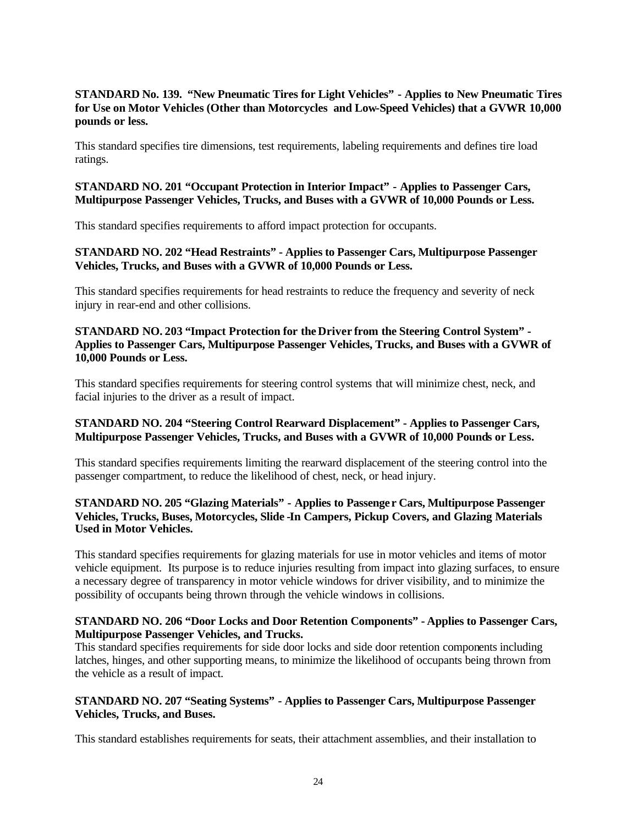## **STANDARD No. 139. "New Pneumatic Tires for Light Vehicles" - Applies to New Pneumatic Tires for Use on Motor Vehicles (Other than Motorcycles and Low-Speed Vehicles) that a GVWR 10,000 pounds or less.**

This standard specifies tire dimensions, test requirements, labeling requirements and defines tire load ratings.

## **STANDARD NO. 201 "Occupant Protection in Interior Impact" - Applies to Passenger Cars, Multipurpose Passenger Vehicles, Trucks, and Buses with a GVWR of 10,000 Pounds or Less.**

This standard specifies requirements to afford impact protection for occupants.

## **STANDARD NO. 202 "Head Restraints" - Applies to Passenger Cars, Multipurpose Passenger Vehicles, Trucks, and Buses with a GVWR of 10,000 Pounds or Less.**

This standard specifies requirements for head restraints to reduce the frequency and severity of neck injury in rear-end and other collisions.

## **STANDARD NO. 203 "Impact Protection for the Driver from the Steering Control System" - Applies to Passenger Cars, Multipurpose Passenger Vehicles, Trucks, and Buses with a GVWR of 10,000 Pounds or Less.**

This standard specifies requirements for steering control systems that will minimize chest, neck, and facial injuries to the driver as a result of impact.

## **STANDARD NO. 204 "Steering Control Rearward Displacement" - Applies to Passenger Cars, Multipurpose Passenger Vehicles, Trucks, and Buses with a GVWR of 10,000 Pounds or Less.**

This standard specifies requirements limiting the rearward displacement of the steering control into the passenger compartment, to reduce the likelihood of chest, neck, or head injury.

## **STANDARD NO. 205 "Glazing Materials" - Applies to Passenge r Cars, Multipurpose Passenger Vehicles, Trucks, Buses, Motorcycles, Slide -In Campers, Pickup Covers, and Glazing Materials Used in Motor Vehicles.**

This standard specifies requirements for glazing materials for use in motor vehicles and items of motor vehicle equipment. Its purpose is to reduce injuries resulting from impact into glazing surfaces, to ensure a necessary degree of transparency in motor vehicle windows for driver visibility, and to minimize the possibility of occupants being thrown through the vehicle windows in collisions.

## **STANDARD NO. 206 "Door Locks and Door Retention Components" - Applies to Passenger Cars, Multipurpose Passenger Vehicles, and Trucks.**

This standard specifies requirements for side door locks and side door retention components including latches, hinges, and other supporting means, to minimize the likelihood of occupants being thrown from the vehicle as a result of impact.

## **STANDARD NO. 207 "Seating Systems" - Applies to Passenger Cars, Multipurpose Passenger Vehicles, Trucks, and Buses.**

This standard establishes requirements for seats, their attachment assemblies, and their installation to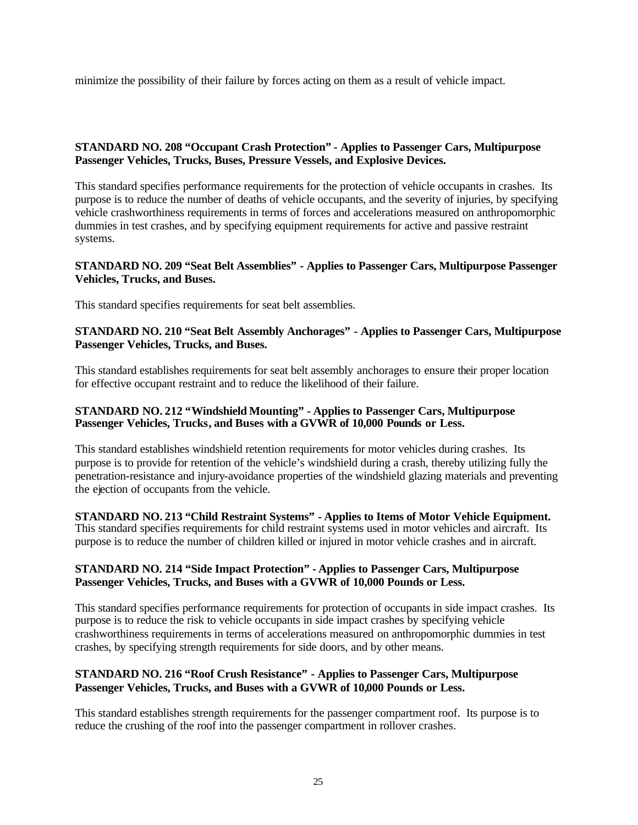minimize the possibility of their failure by forces acting on them as a result of vehicle impact.

## **STANDARD NO. 208 "Occupant Crash Protection" - Applies to Passenger Cars, Multipurpose Passenger Vehicles, Trucks, Buses, Pressure Vessels, and Explosive Devices.**

This standard specifies performance requirements for the protection of vehicle occupants in crashes. Its purpose is to reduce the number of deaths of vehicle occupants, and the severity of injuries, by specifying vehicle crashworthiness requirements in terms of forces and accelerations measured on anthropomorphic dummies in test crashes, and by specifying equipment requirements for active and passive restraint systems.

## **STANDARD NO. 209 "Seat Belt Assemblies" - Applies to Passenger Cars, Multipurpose Passenger Vehicles, Trucks, and Buses.**

This standard specifies requirements for seat belt assemblies.

## **STANDARD NO. 210 "Seat Belt Assembly Anchorages" - Applies to Passenger Cars, Multipurpose Passenger Vehicles, Trucks, and Buses.**

This standard establishes requirements for seat belt assembly anchorages to ensure their proper location for effective occupant restraint and to reduce the likelihood of their failure.

## **STANDARD NO. 212 "Windshield Mounting" - Applies to Passenger Cars, Multipurpose Passenger Vehicles, Trucks, and Buses with a GVWR of 10,000 Pounds or Less.**

This standard establishes windshield retention requirements for motor vehicles during crashes. Its purpose is to provide for retention of the vehicle's windshield during a crash, thereby utilizing fully the penetration-resistance and injury-avoidance properties of the windshield glazing materials and preventing the ejection of occupants from the vehicle.

**STANDARD NO. 213 "Child Restraint Systems" - Applies to Items of Motor Vehicle Equipment.** This standard specifies requirements for child restraint systems used in motor vehicles and aircraft. Its purpose is to reduce the number of children killed or injured in motor vehicle crashes and in aircraft.

## **STANDARD NO. 214 "Side Impact Protection" - Applies to Passenger Cars, Multipurpose Passenger Vehicles, Trucks, and Buses with a GVWR of 10,000 Pounds or Less.**

This standard specifies performance requirements for protection of occupants in side impact crashes. Its purpose is to reduce the risk to vehicle occupants in side impact crashes by specifying vehicle crashworthiness requirements in terms of accelerations measured on anthropomorphic dummies in test crashes, by specifying strength requirements for side doors, and by other means.

## **STANDARD NO. 216 "Roof Crush Resistance" - Applies to Passenger Cars, Multipurpose Passenger Vehicles, Trucks, and Buses with a GVWR of 10,000 Pounds or Less.**

This standard establishes strength requirements for the passenger compartment roof. Its purpose is to reduce the crushing of the roof into the passenger compartment in rollover crashes.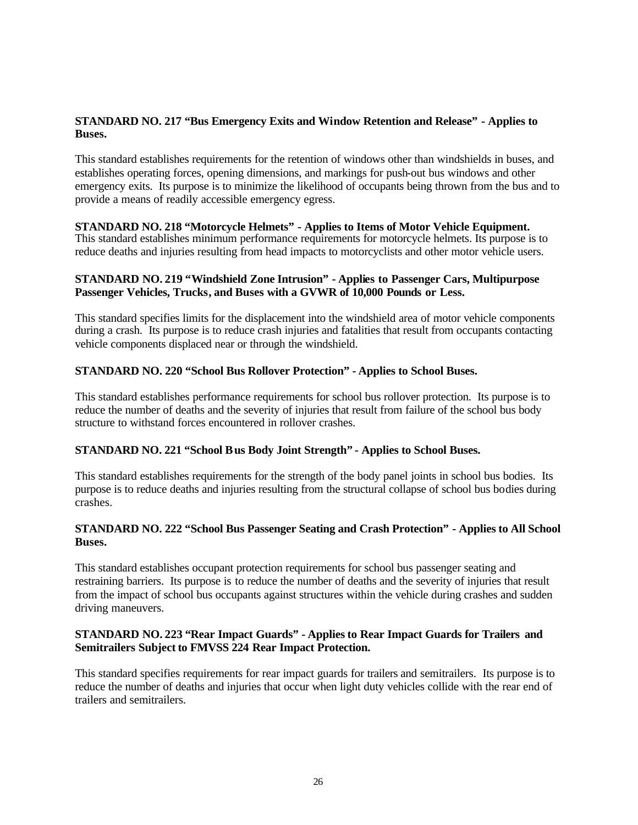## **STANDARD NO. 217 "Bus Emergency Exits and Window Retention and Release" - Applies to Buses.**

This standard establishes requirements for the retention of windows other than windshields in buses, and establishes operating forces, opening dimensions, and markings for push-out bus windows and other emergency exits. Its purpose is to minimize the likelihood of occupants being thrown from the bus and to provide a means of readily accessible emergency egress.

## **STANDARD NO. 218 "Motorcycle Helmets" - Applies to Items of Motor Vehicle Equipment.**

This standard establishes minimum performance requirements for motorcycle helmets. Its purpose is to reduce deaths and injuries resulting from head impacts to motorcyclists and other motor vehicle users.

## **STANDARD NO. 219 "Windshield Zone Intrusion" - Applies to Passenger Cars, Multipurpose Passenger Vehicles, Trucks, and Buses with a GVWR of 10,000 Pounds or Less.**

This standard specifies limits for the displacement into the windshield area of motor vehicle components during a crash. Its purpose is to reduce crash injuries and fatalities that result from occupants contacting vehicle components displaced near or through the windshield.

## **STANDARD NO. 220 "School Bus Rollover Protection" - Applies to School Buses.**

This standard establishes performance requirements for school bus rollover protection. Its purpose is to reduce the number of deaths and the severity of injuries that result from failure of the school bus body structure to withstand forces encountered in rollover crashes.

## **STANDARD NO. 221 "School Bus Body Joint Strength" - Applies to School Buses.**

This standard establishes requirements for the strength of the body panel joints in school bus bodies. Its purpose is to reduce deaths and injuries resulting from the structural collapse of school bus bodies during crashes.

## **STANDARD NO. 222 "School Bus Passenger Seating and Crash Protection" - Applies to All School Buses.**

This standard establishes occupant protection requirements for school bus passenger seating and restraining barriers. Its purpose is to reduce the number of deaths and the severity of injuries that result from the impact of school bus occupants against structures within the vehicle during crashes and sudden driving maneuvers.

## **STANDARD NO. 223 "Rear Impact Guards" - Applies to Rear Impact Guards for Trailers and Semitrailers Subject to FMVSS 224 Rear Impact Protection.**

This standard specifies requirements for rear impact guards for trailers and semitrailers. Its purpose is to reduce the number of deaths and injuries that occur when light duty vehicles collide with the rear end of trailers and semitrailers.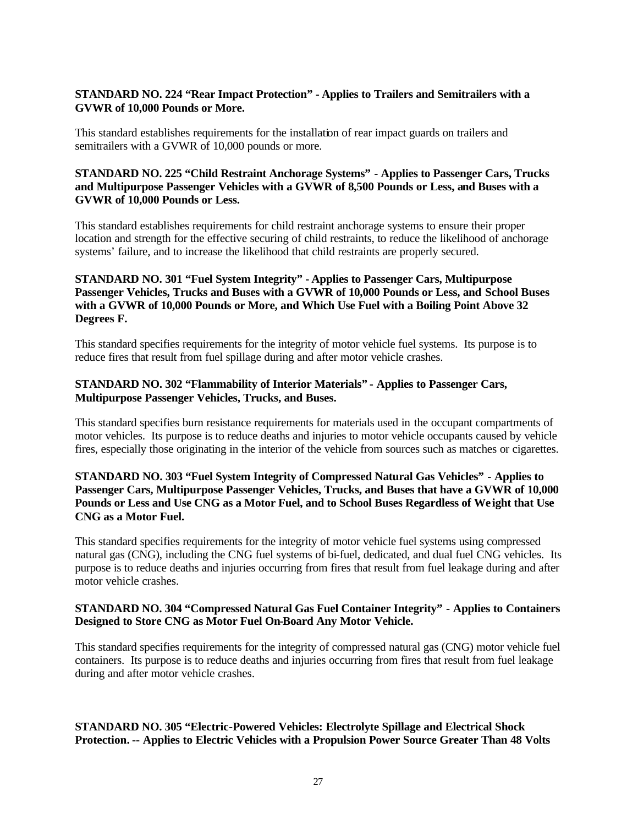## **STANDARD NO. 224 "Rear Impact Protection" - Applies to Trailers and Semitrailers with a GVWR of 10,000 Pounds or More.**

This standard establishes requirements for the installation of rear impact guards on trailers and semitrailers with a GVWR of 10,000 pounds or more.

## **STANDARD NO. 225 "Child Restraint Anchorage Systems" - Applies to Passenger Cars, Trucks and Multipurpose Passenger Vehicles with a GVWR of 8,500 Pounds or Less, and Buses with a GVWR of 10,000 Pounds or Less.**

This standard establishes requirements for child restraint anchorage systems to ensure their proper location and strength for the effective securing of child restraints, to reduce the likelihood of anchorage systems' failure, and to increase the likelihood that child restraints are properly secured.

## **STANDARD NO. 301 "Fuel System Integrity" - Applies to Passenger Cars, Multipurpose Passenger Vehicles, Trucks and Buses with a GVWR of 10,000 Pounds or Less, and School Buses with a GVWR of 10,000 Pounds or More, and Which Use Fuel with a Boiling Point Above 32 Degrees F.**

This standard specifies requirements for the integrity of motor vehicle fuel systems. Its purpose is to reduce fires that result from fuel spillage during and after motor vehicle crashes.

## **STANDARD NO. 302 "Flammability of Interior Materials" - Applies to Passenger Cars, Multipurpose Passenger Vehicles, Trucks, and Buses.**

This standard specifies burn resistance requirements for materials used in the occupant compartments of motor vehicles. Its purpose is to reduce deaths and injuries to motor vehicle occupants caused by vehicle fires, especially those originating in the interior of the vehicle from sources such as matches or cigarettes.

## **STANDARD NO. 303 "Fuel System Integrity of Compressed Natural Gas Vehicles" - Applies to Passenger Cars, Multipurpose Passenger Vehicles, Trucks, and Buses that have a GVWR of 10,000 Pounds or Less and Use CNG as a Motor Fuel, and to School Buses Regardless of We ight that Use CNG as a Motor Fuel.**

This standard specifies requirements for the integrity of motor vehicle fuel systems using compressed natural gas (CNG), including the CNG fuel systems of bi-fuel, dedicated, and dual fuel CNG vehicles. Its purpose is to reduce deaths and injuries occurring from fires that result from fuel leakage during and after motor vehicle crashes.

## **STANDARD NO. 304 "Compressed Natural Gas Fuel Container Integrity" - Applies to Containers Designed to Store CNG as Motor Fuel On-Board Any Motor Vehicle.**

This standard specifies requirements for the integrity of compressed natural gas (CNG) motor vehicle fuel containers. Its purpose is to reduce deaths and injuries occurring from fires that result from fuel leakage during and after motor vehicle crashes.

## **STANDARD NO. 305 "Electric-Powered Vehicles: Electrolyte Spillage and Electrical Shock Protection. -- Applies to Electric Vehicles with a Propulsion Power Source Greater Than 48 Volts**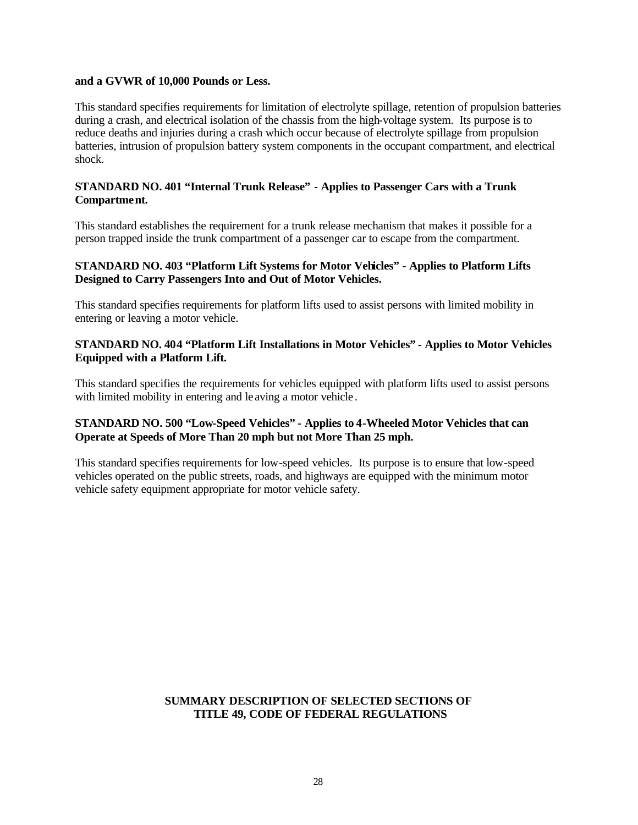#### **and a GVWR of 10,000 Pounds or Less.**

This standard specifies requirements for limitation of electrolyte spillage, retention of propulsion batteries during a crash, and electrical isolation of the chassis from the high-voltage system. Its purpose is to reduce deaths and injuries during a crash which occur because of electrolyte spillage from propulsion batteries, intrusion of propulsion battery system components in the occupant compartment, and electrical shock.

## **STANDARD NO. 401 "Internal Trunk Release" - Applies to Passenger Cars with a Trunk Compartment.**

This standard establishes the requirement for a trunk release mechanism that makes it possible for a person trapped inside the trunk compartment of a passenger car to escape from the compartment.

### **STANDARD NO. 403 "Platform Lift Systems for Motor Vehicles" - Applies to Platform Lifts Designed to Carry Passengers Into and Out of Motor Vehicles.**

This standard specifies requirements for platform lifts used to assist persons with limited mobility in entering or leaving a motor vehicle.

## **STANDARD NO. 404 "Platform Lift Installations in Motor Vehicles" - Applies to Motor Vehicles Equipped with a Platform Lift.**

This standard specifies the requirements for vehicles equipped with platform lifts used to assist persons with limited mobility in entering and le aving a motor vehicle .

## **STANDARD NO. 500 "Low-Speed Vehicles" - Applies to 4-Wheeled Motor Vehicles that can Operate at Speeds of More Than 20 mph but not More Than 25 mph.**

This standard specifies requirements for low-speed vehicles. Its purpose is to ensure that low-speed vehicles operated on the public streets, roads, and highways are equipped with the minimum motor vehicle safety equipment appropriate for motor vehicle safety.

## **SUMMARY DESCRIPTION OF SELECTED SECTIONS OF TITLE 49, CODE OF FEDERAL REGULATIONS**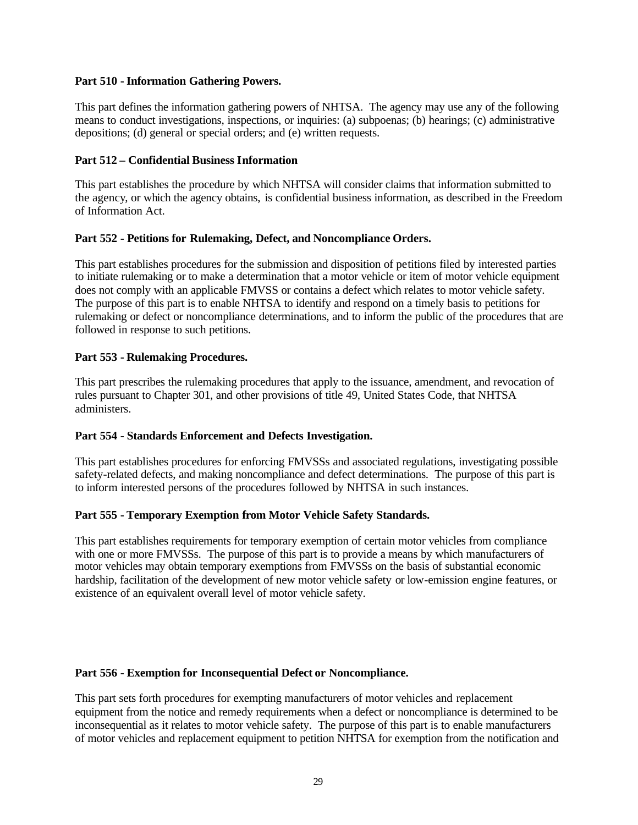## **Part 510 - Information Gathering Powers.**

This part defines the information gathering powers of NHTSA. The agency may use any of the following means to conduct investigations, inspections, or inquiries: (a) subpoenas; (b) hearings; (c) administrative depositions; (d) general or special orders; and (e) written requests.

## **Part 512 – Confidential Business Information**

This part establishes the procedure by which NHTSA will consider claims that information submitted to the agency, or which the agency obtains, is confidential business information, as described in the Freedom of Information Act.

## **Part 552 - Petitions for Rulemaking, Defect, and Noncompliance Orders.**

This part establishes procedures for the submission and disposition of petitions filed by interested parties to initiate rulemaking or to make a determination that a motor vehicle or item of motor vehicle equipment does not comply with an applicable FMVSS or contains a defect which relates to motor vehicle safety. The purpose of this part is to enable NHTSA to identify and respond on a timely basis to petitions for rulemaking or defect or noncompliance determinations, and to inform the public of the procedures that are followed in response to such petitions.

## **Part 553 - Rulemaking Procedures.**

This part prescribes the rulemaking procedures that apply to the issuance, amendment, and revocation of rules pursuant to Chapter 301, and other provisions of title 49, United States Code, that NHTSA administers.

## **Part 554 - Standards Enforcement and Defects Investigation.**

This part establishes procedures for enforcing FMVSSs and associated regulations, investigating possible safety-related defects, and making noncompliance and defect determinations. The purpose of this part is to inform interested persons of the procedures followed by NHTSA in such instances.

## **Part 555 - Temporary Exemption from Motor Vehicle Safety Standards.**

This part establishes requirements for temporary exemption of certain motor vehicles from compliance with one or more FMVSSs. The purpose of this part is to provide a means by which manufacturers of motor vehicles may obtain temporary exemptions from FMVSSs on the basis of substantial economic hardship, facilitation of the development of new motor vehicle safety or low-emission engine features, or existence of an equivalent overall level of motor vehicle safety.

## **Part 556 - Exemption for Inconsequential Defect or Noncompliance.**

This part sets forth procedures for exempting manufacturers of motor vehicles and replacement equipment from the notice and remedy requirements when a defect or noncompliance is determined to be inconsequential as it relates to motor vehicle safety. The purpose of this part is to enable manufacturers of motor vehicles and replacement equipment to petition NHTSA for exemption from the notification and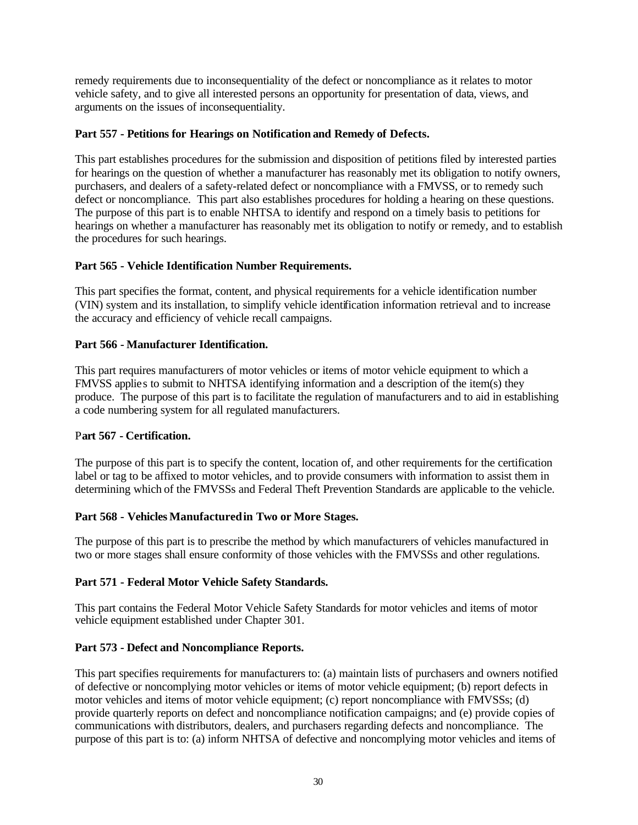remedy requirements due to inconsequentiality of the defect or noncompliance as it relates to motor vehicle safety, and to give all interested persons an opportunity for presentation of data, views, and arguments on the issues of inconsequentiality.

## **Part 557 - Petitions for Hearings on Notification and Remedy of Defects.**

This part establishes procedures for the submission and disposition of petitions filed by interested parties for hearings on the question of whether a manufacturer has reasonably met its obligation to notify owners, purchasers, and dealers of a safety-related defect or noncompliance with a FMVSS, or to remedy such defect or noncompliance. This part also establishes procedures for holding a hearing on these questions. The purpose of this part is to enable NHTSA to identify and respond on a timely basis to petitions for hearings on whether a manufacturer has reasonably met its obligation to notify or remedy, and to establish the procedures for such hearings.

## **Part 565 - Vehicle Identification Number Requirements.**

This part specifies the format, content, and physical requirements for a vehicle identification number (VIN) system and its installation, to simplify vehicle identification information retrieval and to increase the accuracy and efficiency of vehicle recall campaigns.

## **Part 566 - Manufacturer Identification.**

This part requires manufacturers of motor vehicles or items of motor vehicle equipment to which a FMVSS applies to submit to NHTSA identifying information and a description of the item(s) they produce. The purpose of this part is to facilitate the regulation of manufacturers and to aid in establishing a code numbering system for all regulated manufacturers.

## P**art 567 - Certification.**

The purpose of this part is to specify the content, location of, and other requirements for the certification label or tag to be affixed to motor vehicles, and to provide consumers with information to assist them in determining which of the FMVSSs and Federal Theft Prevention Standards are applicable to the vehicle.

## **Part 568 - Vehicles Manufactured in Two or More Stages.**

The purpose of this part is to prescribe the method by which manufacturers of vehicles manufactured in two or more stages shall ensure conformity of those vehicles with the FMVSSs and other regulations.

## **Part 571 - Federal Motor Vehicle Safety Standards.**

This part contains the Federal Motor Vehicle Safety Standards for motor vehicles and items of motor vehicle equipment established under Chapter 301.

## **Part 573 - Defect and Noncompliance Reports.**

This part specifies requirements for manufacturers to: (a) maintain lists of purchasers and owners notified of defective or noncomplying motor vehicles or items of motor vehicle equipment; (b) report defects in motor vehicles and items of motor vehicle equipment; (c) report noncompliance with FMVSSs; (d) provide quarterly reports on defect and noncompliance notification campaigns; and (e) provide copies of communications with distributors, dealers, and purchasers regarding defects and noncompliance. The purpose of this part is to: (a) inform NHTSA of defective and noncomplying motor vehicles and items of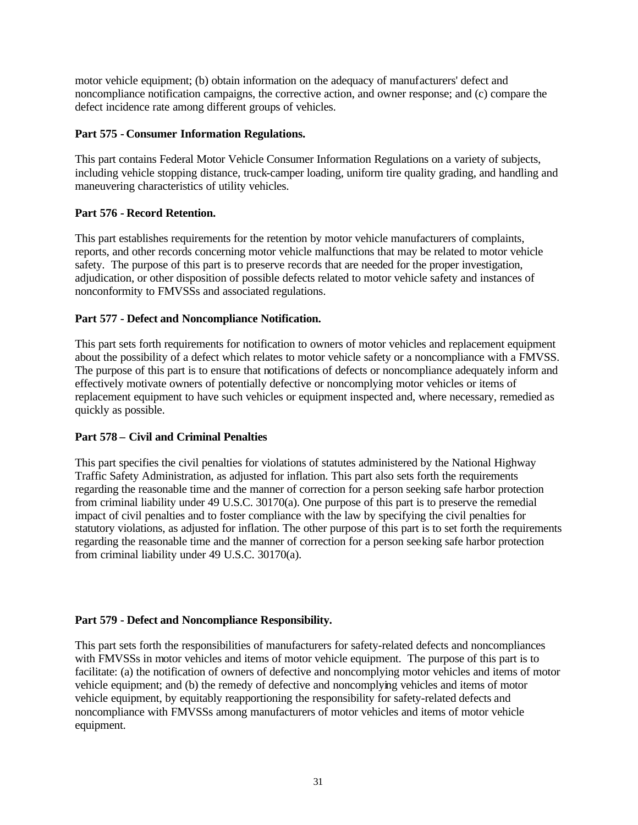motor vehicle equipment; (b) obtain information on the adequacy of manufacturers' defect and noncompliance notification campaigns, the corrective action, and owner response; and (c) compare the defect incidence rate among different groups of vehicles.

## **Part 575 - Consumer Information Regulations.**

This part contains Federal Motor Vehicle Consumer Information Regulations on a variety of subjects, including vehicle stopping distance, truck-camper loading, uniform tire quality grading, and handling and maneuvering characteristics of utility vehicles.

## **Part 576 - Record Retention.**

This part establishes requirements for the retention by motor vehicle manufacturers of complaints, reports, and other records concerning motor vehicle malfunctions that may be related to motor vehicle safety. The purpose of this part is to preserve records that are needed for the proper investigation, adjudication, or other disposition of possible defects related to motor vehicle safety and instances of nonconformity to FMVSSs and associated regulations.

## **Part 577 - Defect and Noncompliance Notification.**

This part sets forth requirements for notification to owners of motor vehicles and replacement equipment about the possibility of a defect which relates to motor vehicle safety or a noncompliance with a FMVSS. The purpose of this part is to ensure that notifications of defects or noncompliance adequately inform and effectively motivate owners of potentially defective or noncomplying motor vehicles or items of replacement equipment to have such vehicles or equipment inspected and, where necessary, remedied as quickly as possible.

## **Part 578 – Civil and Criminal Penalties**

This part specifies the civil penalties for violations of statutes administered by the National Highway Traffic Safety Administration, as adjusted for inflation. This part also sets forth the requirements regarding the reasonable time and the manner of correction for a person seeking safe harbor protection from criminal liability under 49 U.S.C. 30170(a). One purpose of this part is to preserve the remedial impact of civil penalties and to foster compliance with the law by specifying the civil penalties for statutory violations, as adjusted for inflation. The other purpose of this part is to set forth the requirements regarding the reasonable time and the manner of correction for a person seeking safe harbor protection from criminal liability under 49 U.S.C. 30170(a).

## **Part 579 - Defect and Noncompliance Responsibility.**

This part sets forth the responsibilities of manufacturers for safety-related defects and noncompliances with FMVSSs in motor vehicles and items of motor vehicle equipment. The purpose of this part is to facilitate: (a) the notification of owners of defective and noncomplying motor vehicles and items of motor vehicle equipment; and (b) the remedy of defective and noncomplying vehicles and items of motor vehicle equipment, by equitably reapportioning the responsibility for safety-related defects and noncompliance with FMVSSs among manufacturers of motor vehicles and items of motor vehicle equipment.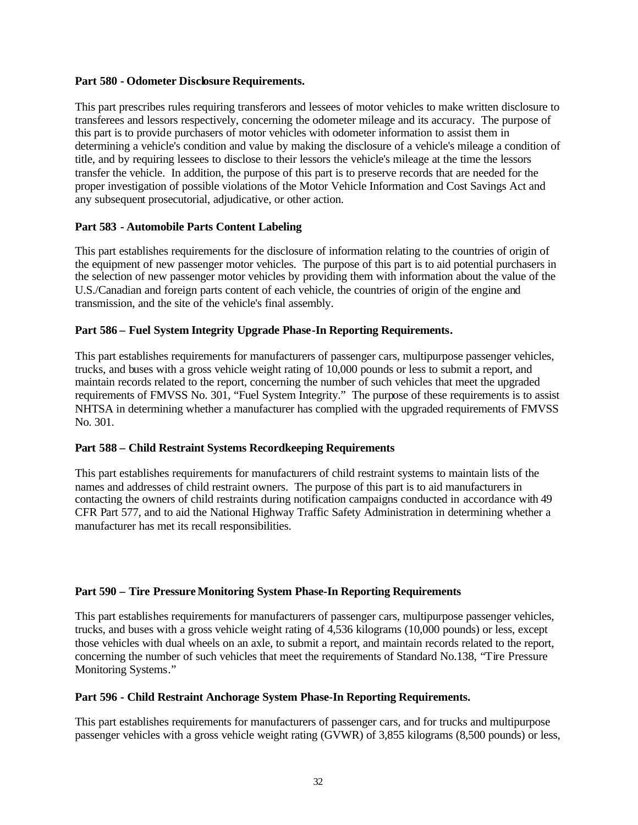## **Part 580 - Odometer Disclosure Requirements.**

This part prescribes rules requiring transferors and lessees of motor vehicles to make written disclosure to transferees and lessors respectively, concerning the odometer mileage and its accuracy. The purpose of this part is to provide purchasers of motor vehicles with odometer information to assist them in determining a vehicle's condition and value by making the disclosure of a vehicle's mileage a condition of title, and by requiring lessees to disclose to their lessors the vehicle's mileage at the time the lessors transfer the vehicle. In addition, the purpose of this part is to preserve records that are needed for the proper investigation of possible violations of the Motor Vehicle Information and Cost Savings Act and any subsequent prosecutorial, adjudicative, or other action.

## **Part 583 - Automobile Parts Content Labeling**

This part establishes requirements for the disclosure of information relating to the countries of origin of the equipment of new passenger motor vehicles. The purpose of this part is to aid potential purchasers in the selection of new passenger motor vehicles by providing them with information about the value of the U.S./Canadian and foreign parts content of each vehicle, the countries of origin of the engine and transmission, and the site of the vehicle's final assembly.

## **Part 586 – Fuel System Integrity Upgrade Phase-In Reporting Requirements.**

This part establishes requirements for manufacturers of passenger cars, multipurpose passenger vehicles, trucks, and buses with a gross vehicle weight rating of 10,000 pounds or less to submit a report, and maintain records related to the report, concerning the number of such vehicles that meet the upgraded requirements of FMVSS No. 301, "Fuel System Integrity." The purpose of these requirements is to assist NHTSA in determining whether a manufacturer has complied with the upgraded requirements of FMVSS No. 301.

## **Part 588 – Child Restraint Systems Recordkeeping Requirements**

This part establishes requirements for manufacturers of child restraint systems to maintain lists of the names and addresses of child restraint owners. The purpose of this part is to aid manufacturers in contacting the owners of child restraints during notification campaigns conducted in accordance with 49 CFR Part 577, and to aid the National Highway Traffic Safety Administration in determining whether a manufacturer has met its recall responsibilities.

#### **Part 590 – Tire Pressure Monitoring System Phase-In Reporting Requirements**

This part establishes requirements for manufacturers of passenger cars, multipurpose passenger vehicles, trucks, and buses with a gross vehicle weight rating of 4,536 kilograms (10,000 pounds) or less, except those vehicles with dual wheels on an axle, to submit a report, and maintain records related to the report, concerning the number of such vehicles that meet the requirements of Standard No.138, "Tire Pressure Monitoring Systems."

#### **Part 596 - Child Restraint Anchorage System Phase-In Reporting Requirements.**

This part establishes requirements for manufacturers of passenger cars, and for trucks and multipurpose passenger vehicles with a gross vehicle weight rating (GVWR) of 3,855 kilograms (8,500 pounds) or less,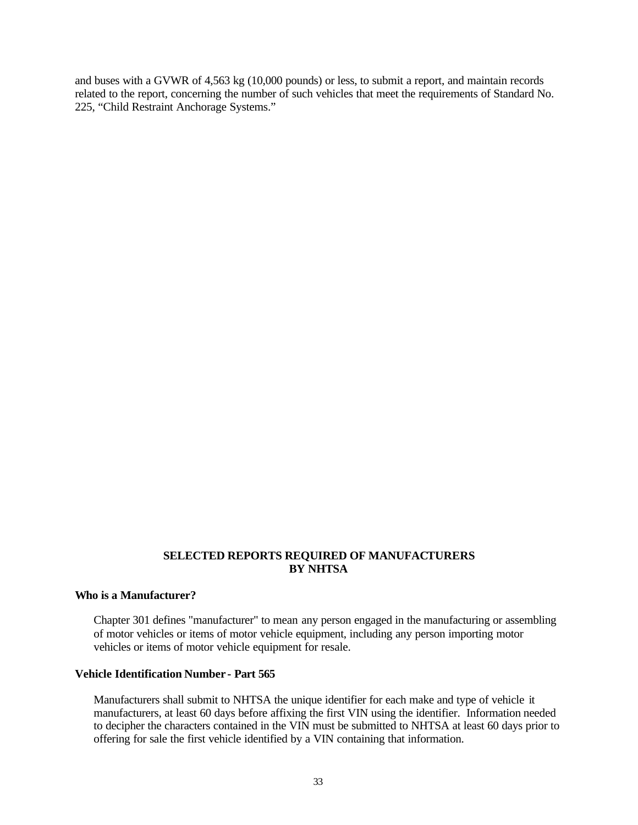and buses with a GVWR of 4,563 kg (10,000 pounds) or less, to submit a report, and maintain records related to the report, concerning the number of such vehicles that meet the requirements of Standard No. 225, "Child Restraint Anchorage Systems."

## **SELECTED REPORTS REQUIRED OF MANUFACTURERS BY NHTSA**

### **Who is a Manufacturer?**

Chapter 301 defines "manufacturer" to mean any person engaged in the manufacturing or assembling of motor vehicles or items of motor vehicle equipment, including any person importing motor vehicles or items of motor vehicle equipment for resale.

#### **Vehicle Identification Number - Part 565**

Manufacturers shall submit to NHTSA the unique identifier for each make and type of vehicle it manufacturers, at least 60 days before affixing the first VIN using the identifier. Information needed to decipher the characters contained in the VIN must be submitted to NHTSA at least 60 days prior to offering for sale the first vehicle identified by a VIN containing that information.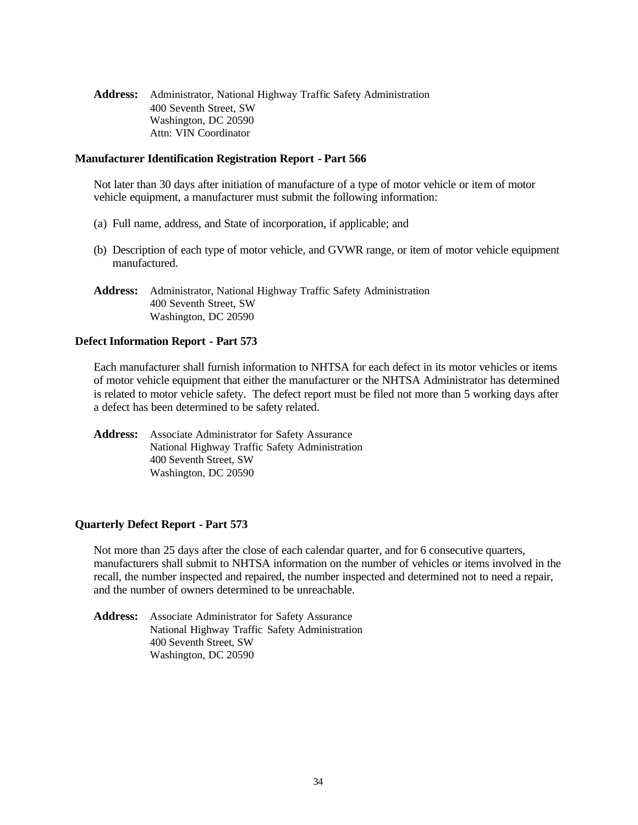**Address:** Administrator, National Highway Traffic Safety Administration 400 Seventh Street, SW Washington, DC 20590 Attn: VIN Coordinator

#### **Manufacturer Identification Registration Report - Part 566**

Not later than 30 days after initiation of manufacture of a type of motor vehicle or item of motor vehicle equipment, a manufacturer must submit the following information:

- (a) Full name, address, and State of incorporation, if applicable; and
- (b) Description of each type of motor vehicle, and GVWR range, or item of motor vehicle equipment manufactured.
- **Address:** Administrator, National Highway Traffic Safety Administration 400 Seventh Street, SW Washington, DC 20590

## **Defect Information Report - Part 573**

Each manufacturer shall furnish information to NHTSA for each defect in its motor vehicles or items of motor vehicle equipment that either the manufacturer or the NHTSA Administrator has determined is related to motor vehicle safety. The defect report must be filed not more than 5 working days after a defect has been determined to be safety related.

**Address:** Associate Administrator for Safety Assurance National Highway Traffic Safety Administration 400 Seventh Street, SW Washington, DC 20590

## **Quarterly Defect Report - Part 573**

Not more than 25 days after the close of each calendar quarter, and for 6 consecutive quarters, manufacturers shall submit to NHTSA information on the number of vehicles or items involved in the recall, the number inspected and repaired, the number inspected and determined not to need a repair, and the number of owners determined to be unreachable.

**Address:** Associate Administrator for Safety Assurance National Highway Traffic Safety Administration 400 Seventh Street, SW Washington, DC 20590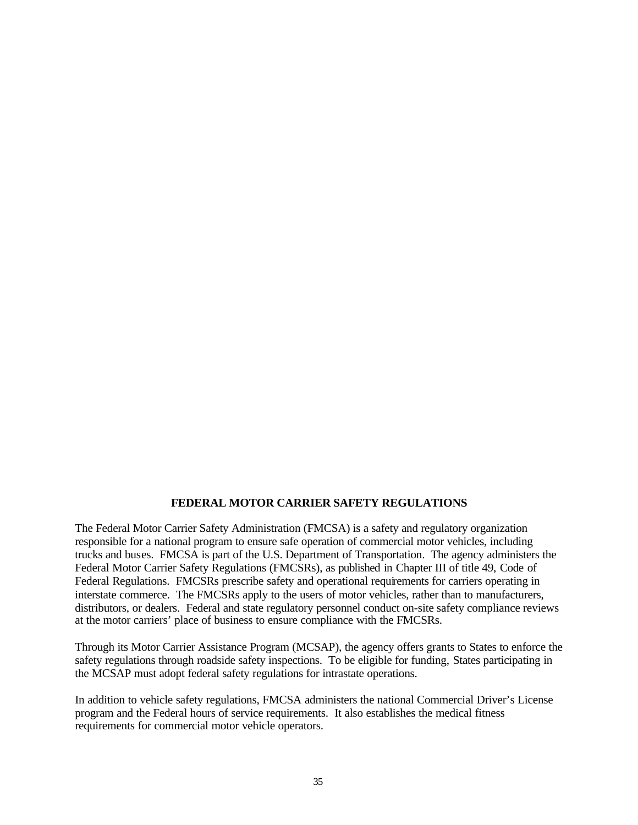## **FEDERAL MOTOR CARRIER SAFETY REGULATIONS**

The Federal Motor Carrier Safety Administration (FMCSA) is a safety and regulatory organization responsible for a national program to ensure safe operation of commercial motor vehicles, including trucks and buses. FMCSA is part of the U.S. Department of Transportation. The agency administers the Federal Motor Carrier Safety Regulations (FMCSRs), as published in Chapter III of title 49, Code of Federal Regulations. FMCSRs prescribe safety and operational requirements for carriers operating in interstate commerce. The FMCSRs apply to the users of motor vehicles, rather than to manufacturers, distributors, or dealers. Federal and state regulatory personnel conduct on-site safety compliance reviews at the motor carriers' place of business to ensure compliance with the FMCSRs.

Through its Motor Carrier Assistance Program (MCSAP), the agency offers grants to States to enforce the safety regulations through roadside safety inspections. To be eligible for funding, States participating in the MCSAP must adopt federal safety regulations for intrastate operations.

In addition to vehicle safety regulations, FMCSA administers the national Commercial Driver's License program and the Federal hours of service requirements. It also establishes the medical fitness requirements for commercial motor vehicle operators.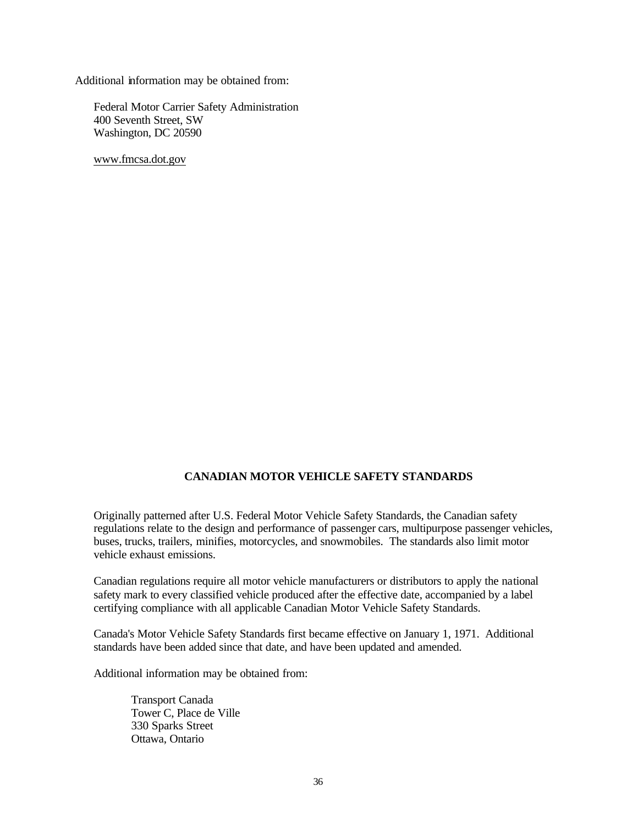Additional information may be obtained from:

Federal Motor Carrier Safety Administration 400 Seventh Street, SW Washington, DC 20590

www.fmcsa.dot.gov

## **CANADIAN MOTOR VEHICLE SAFETY STANDARDS**

Originally patterned after U.S. Federal Motor Vehicle Safety Standards, the Canadian safety regulations relate to the design and performance of passenger cars, multipurpose passenger vehicles, buses, trucks, trailers, minifies, motorcycles, and snowmobiles. The standards also limit motor vehicle exhaust emissions.

Canadian regulations require all motor vehicle manufacturers or distributors to apply the national safety mark to every classified vehicle produced after the effective date, accompanied by a label certifying compliance with all applicable Canadian Motor Vehicle Safety Standards.

Canada's Motor Vehicle Safety Standards first became effective on January 1, 1971. Additional standards have been added since that date, and have been updated and amended.

Additional information may be obtained from:

Transport Canada Tower C, Place de Ville 330 Sparks Street Ottawa, Ontario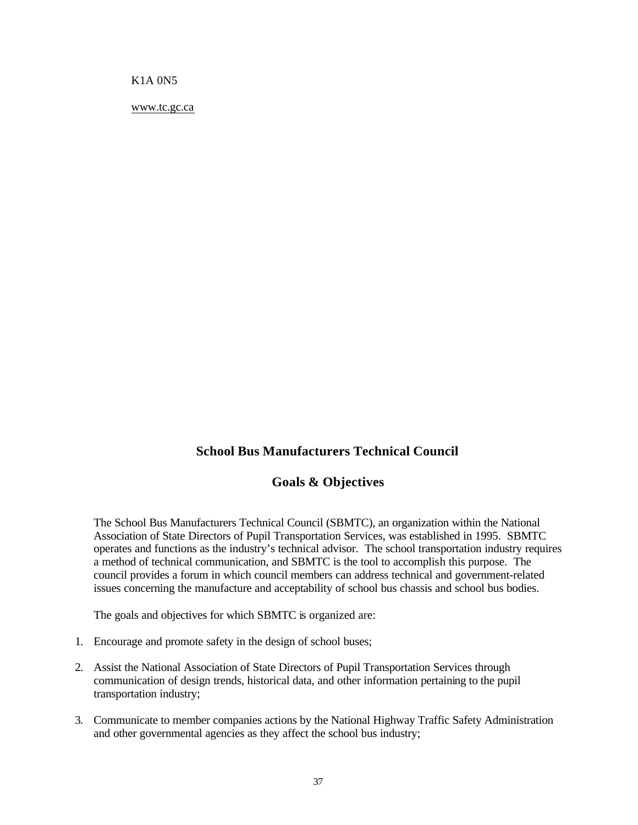K1A 0N5

www.tc.gc.ca

# **School Bus Manufacturers Technical Council**

## **Goals & Objectives**

The School Bus Manufacturers Technical Council (SBMTC), an organization within the National Association of State Directors of Pupil Transportation Services, was established in 1995. SBMTC operates and functions as the industry's technical advisor. The school transportation industry requires a method of technical communication, and SBMTC is the tool to accomplish this purpose. The council provides a forum in which council members can address technical and government-related issues concerning the manufacture and acceptability of school bus chassis and school bus bodies.

The goals and objectives for which SBMTC is organized are:

- 1. Encourage and promote safety in the design of school buses;
- 2. Assist the National Association of State Directors of Pupil Transportation Services through communication of design trends, historical data, and other information pertaining to the pupil transportation industry;
- 3. Communicate to member companies actions by the National Highway Traffic Safety Administration and other governmental agencies as they affect the school bus industry;